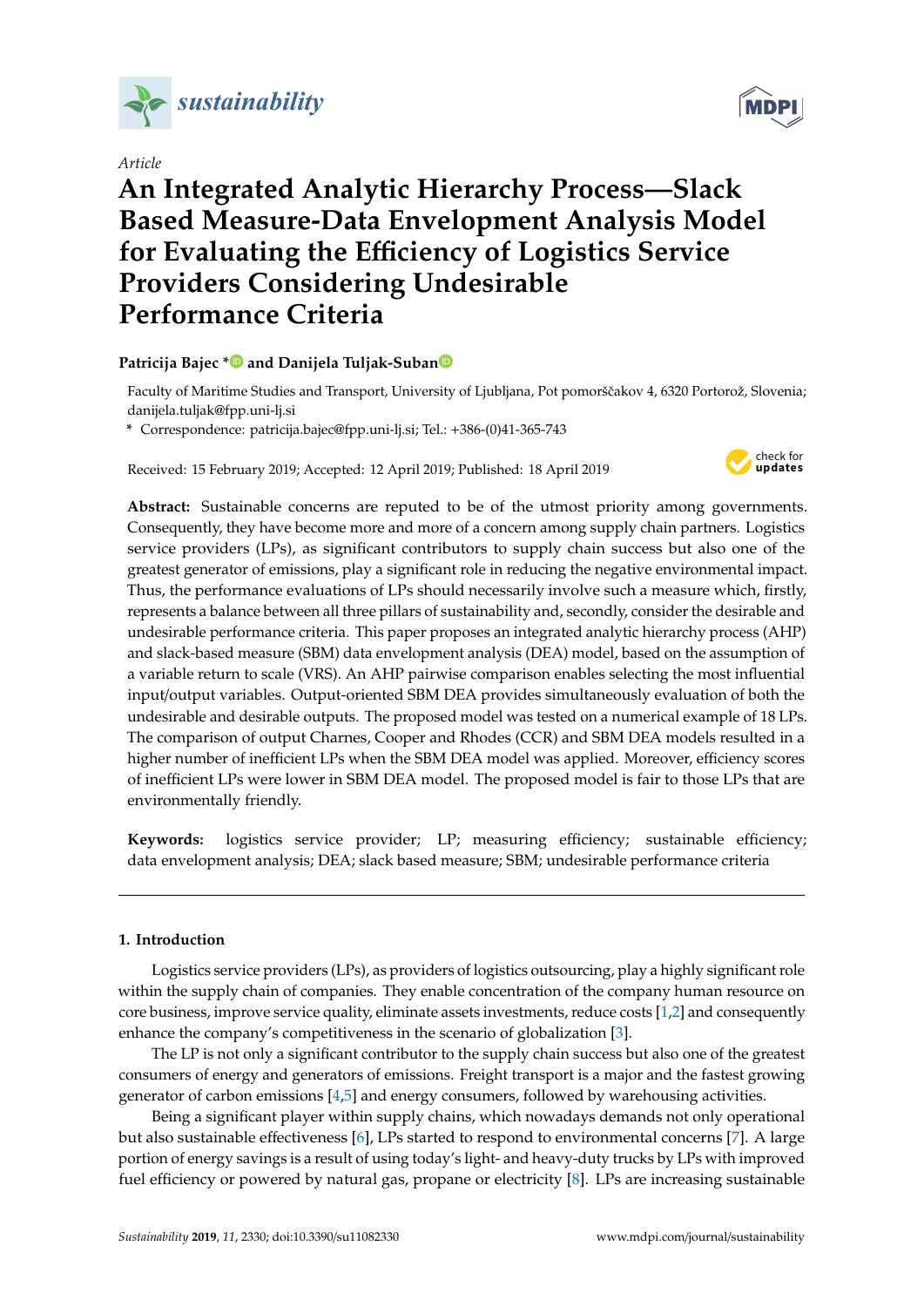

*Article*

# **An Integrated Analytic Hierarchy Process—Slack Based Measure-Data Envelopment Analysis Model for Evaluating the E**ffi**ciency of Logistics Service Providers Considering Undesirable Performance Criteria**

## **Patricija Bajec [\\*](https://orcid.org/0000-0003-1511-1064) and Danijela Tuljak-Suba[n](https://orcid.org/0000-0001-7207-2976)**

Faculty of Maritime Studies and Transport, University of Ljubljana, Pot pomorščakov 4, 6320 Portorož, Slovenia; danijela.tuljak@fpp.uni-lj.si

**\*** Correspondence: patricija.bajec@fpp.uni-lj.si; Tel.: +386-(0)41-365-743

Received: 15 February 2019; Accepted: 12 April 2019; Published: 18 April 2019



**Abstract:** Sustainable concerns are reputed to be of the utmost priority among governments. Consequently, they have become more and more of a concern among supply chain partners. Logistics service providers (LPs), as significant contributors to supply chain success but also one of the greatest generator of emissions, play a significant role in reducing the negative environmental impact. Thus, the performance evaluations of LPs should necessarily involve such a measure which, firstly, represents a balance between all three pillars of sustainability and, secondly, consider the desirable and undesirable performance criteria. This paper proposes an integrated analytic hierarchy process (AHP) and slack-based measure (SBM) data envelopment analysis (DEA) model, based on the assumption of a variable return to scale (VRS). An AHP pairwise comparison enables selecting the most influential input/output variables. Output-oriented SBM DEA provides simultaneously evaluation of both the undesirable and desirable outputs. The proposed model was tested on a numerical example of 18 LPs. The comparison of output Charnes, Cooper and Rhodes (CCR) and SBM DEA models resulted in a higher number of inefficient LPs when the SBM DEA model was applied. Moreover, efficiency scores of inefficient LPs were lower in SBM DEA model. The proposed model is fair to those LPs that are environmentally friendly.

**Keywords:** logistics service provider; LP; measuring efficiency; sustainable efficiency; data envelopment analysis; DEA; slack based measure; SBM; undesirable performance criteria

## **1. Introduction**

Logistics service providers (LPs), as providers of logistics outsourcing, play a highly significant role within the supply chain of companies. They enable concentration of the company human resource on core business, improve service quality, eliminate assets investments, reduce costs [\[1,](#page-15-0)[2\]](#page-15-1) and consequently enhance the company's competitiveness in the scenario of globalization [\[3\]](#page-15-2).

The LP is not only a significant contributor to the supply chain success but also one of the greatest consumers of energy and generators of emissions. Freight transport is a major and the fastest growing generator of carbon emissions  $[4,5]$  $[4,5]$  and energy consumers, followed by warehousing activities.

Being a significant player within supply chains, which nowadays demands not only operational but also sustainable effectiveness [\[6\]](#page-15-5), LPs started to respond to environmental concerns [\[7\]](#page-15-6). A large portion of energy savings is a result of using today's light- and heavy-duty trucks by LPs with improved fuel efficiency or powered by natural gas, propane or electricity [\[8\]](#page-15-7). LPs are increasing sustainable

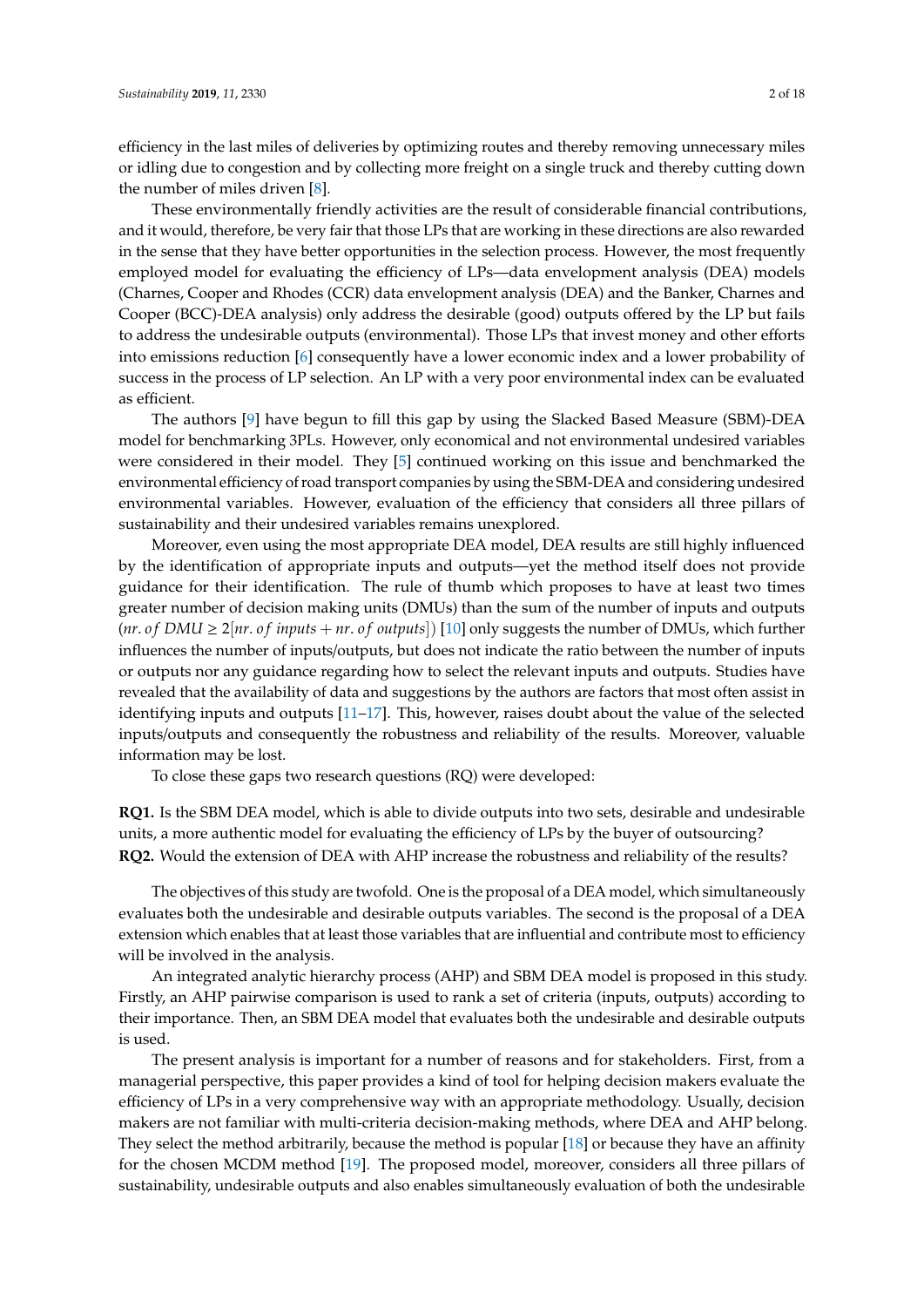efficiency in the last miles of deliveries by optimizing routes and thereby removing unnecessary miles or idling due to congestion and by collecting more freight on a single truck and thereby cutting down the number of miles driven [\[8\]](#page-15-7).

These environmentally friendly activities are the result of considerable financial contributions, and it would, therefore, be very fair that those LPs that are working in these directions are also rewarded in the sense that they have better opportunities in the selection process. However, the most frequently employed model for evaluating the efficiency of LPs—data envelopment analysis (DEA) models (Charnes, Cooper and Rhodes (CCR) data envelopment analysis (DEA) and the Banker, Charnes and Cooper (BCC)-DEA analysis) only address the desirable (good) outputs offered by the LP but fails to address the undesirable outputs (environmental). Those LPs that invest money and other efforts into emissions reduction [\[6\]](#page-15-5) consequently have a lower economic index and a lower probability of success in the process of LP selection. An LP with a very poor environmental index can be evaluated as efficient.

The authors [\[9\]](#page-15-8) have begun to fill this gap by using the Slacked Based Measure (SBM)-DEA model for benchmarking 3PLs. However, only economical and not environmental undesired variables were considered in their model. They [\[5\]](#page-15-4) continued working on this issue and benchmarked the environmental efficiency of road transport companies by using the SBM-DEA and considering undesired environmental variables. However, evaluation of the efficiency that considers all three pillars of sustainability and their undesired variables remains unexplored.

Moreover, even using the most appropriate DEA model, DEA results are still highly influenced by the identification of appropriate inputs and outputs—yet the method itself does not provide guidance for their identification. The rule of thumb which proposes to have at least two times greater number of decision making units (DMUs) than the sum of the number of inputs and outputs  $(nr. of DMU \geq 2|nr. of inputs + nr. of outputs)$  [\[10\]](#page-15-9) only suggests the number of DMUs, which further influences the number of inputs/outputs, but does not indicate the ratio between the number of inputs or outputs nor any guidance regarding how to select the relevant inputs and outputs. Studies have revealed that the availability of data and suggestions by the authors are factors that most often assist in identifying inputs and outputs [\[11](#page-15-10)[–17\]](#page-15-11). This, however, raises doubt about the value of the selected inputs/outputs and consequently the robustness and reliability of the results. Moreover, valuable information may be lost.

To close these gaps two research questions (RQ) were developed:

**RQ1.** Is the SBM DEA model, which is able to divide outputs into two sets, desirable and undesirable units, a more authentic model for evaluating the efficiency of LPs by the buyer of outsourcing? **RQ2.** Would the extension of DEA with AHP increase the robustness and reliability of the results?

The objectives of this study are twofold. One is the proposal of a DEA model, which simultaneously evaluates both the undesirable and desirable outputs variables. The second is the proposal of a DEA extension which enables that at least those variables that are influential and contribute most to efficiency will be involved in the analysis.

An integrated analytic hierarchy process (AHP) and SBM DEA model is proposed in this study. Firstly, an AHP pairwise comparison is used to rank a set of criteria (inputs, outputs) according to their importance. Then, an SBM DEA model that evaluates both the undesirable and desirable outputs is used.

The present analysis is important for a number of reasons and for stakeholders. First, from a managerial perspective, this paper provides a kind of tool for helping decision makers evaluate the efficiency of LPs in a very comprehensive way with an appropriate methodology. Usually, decision makers are not familiar with multi-criteria decision-making methods, where DEA and AHP belong. They select the method arbitrarily, because the method is popular [\[18\]](#page-15-12) or because they have an affinity for the chosen MCDM method [\[19\]](#page-15-13). The proposed model, moreover, considers all three pillars of sustainability, undesirable outputs and also enables simultaneously evaluation of both the undesirable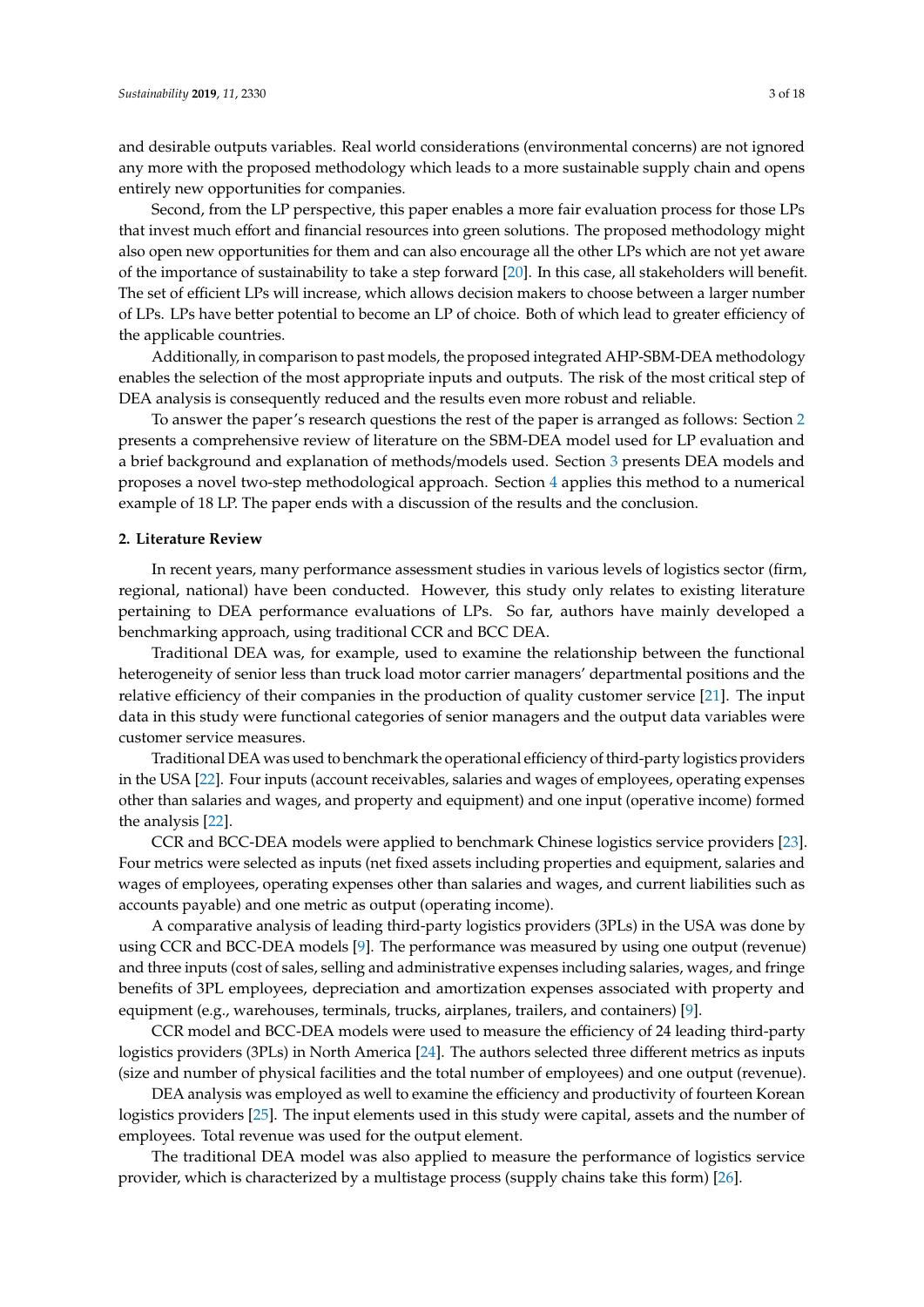and desirable outputs variables. Real world considerations (environmental concerns) are not ignored any more with the proposed methodology which leads to a more sustainable supply chain and opens entirely new opportunities for companies.

Second, from the LP perspective, this paper enables a more fair evaluation process for those LPs that invest much effort and financial resources into green solutions. The proposed methodology might also open new opportunities for them and can also encourage all the other LPs which are not yet aware of the importance of sustainability to take a step forward [\[20\]](#page-15-14). In this case, all stakeholders will benefit. The set of efficient LPs will increase, which allows decision makers to choose between a larger number of LPs. LPs have better potential to become an LP of choice. Both of which lead to greater efficiency of the applicable countries.

Additionally, in comparison to past models, the proposed integrated AHP-SBM-DEA methodology enables the selection of the most appropriate inputs and outputs. The risk of the most critical step of DEA analysis is consequently reduced and the results even more robust and reliable.

To answer the paper's research questions the rest of the paper is arranged as follows: Section [2](#page-2-0) presents a comprehensive review of literature on the SBM-DEA model used for LP evaluation and a brief background and explanation of methods/models used. Section [3](#page-4-0) presents DEA models and proposes a novel two-step methodological approach. Section [4](#page-7-0) applies this method to a numerical example of 18 LP. The paper ends with a discussion of the results and the conclusion.

### <span id="page-2-0"></span>**2. Literature Review**

In recent years, many performance assessment studies in various levels of logistics sector (firm, regional, national) have been conducted. However, this study only relates to existing literature pertaining to DEA performance evaluations of LPs. So far, authors have mainly developed a benchmarking approach, using traditional CCR and BCC DEA.

Traditional DEA was, for example, used to examine the relationship between the functional heterogeneity of senior less than truck load motor carrier managers' departmental positions and the relative efficiency of their companies in the production of quality customer service [\[21\]](#page-15-15). The input data in this study were functional categories of senior managers and the output data variables were customer service measures.

Traditional DEA was used to benchmark the operational efficiency of third-party logistics providers in the USA [\[22\]](#page-15-16). Four inputs (account receivables, salaries and wages of employees, operating expenses other than salaries and wages, and property and equipment) and one input (operative income) formed the analysis [\[22\]](#page-15-16).

CCR and BCC-DEA models were applied to benchmark Chinese logistics service providers [\[23\]](#page-15-17). Four metrics were selected as inputs (net fixed assets including properties and equipment, salaries and wages of employees, operating expenses other than salaries and wages, and current liabilities such as accounts payable) and one metric as output (operating income).

A comparative analysis of leading third-party logistics providers (3PLs) in the USA was done by using CCR and BCC-DEA models [\[9\]](#page-15-8). The performance was measured by using one output (revenue) and three inputs (cost of sales, selling and administrative expenses including salaries, wages, and fringe benefits of 3PL employees, depreciation and amortization expenses associated with property and equipment (e.g., warehouses, terminals, trucks, airplanes, trailers, and containers) [\[9\]](#page-15-8).

CCR model and BCC-DEA models were used to measure the efficiency of 24 leading third-party logistics providers (3PLs) in North America [\[24\]](#page-16-0). The authors selected three different metrics as inputs (size and number of physical facilities and the total number of employees) and one output (revenue).

DEA analysis was employed as well to examine the efficiency and productivity of fourteen Korean logistics providers [\[25\]](#page-16-1). The input elements used in this study were capital, assets and the number of employees. Total revenue was used for the output element.

The traditional DEA model was also applied to measure the performance of logistics service provider, which is characterized by a multistage process (supply chains take this form) [\[26\]](#page-16-2).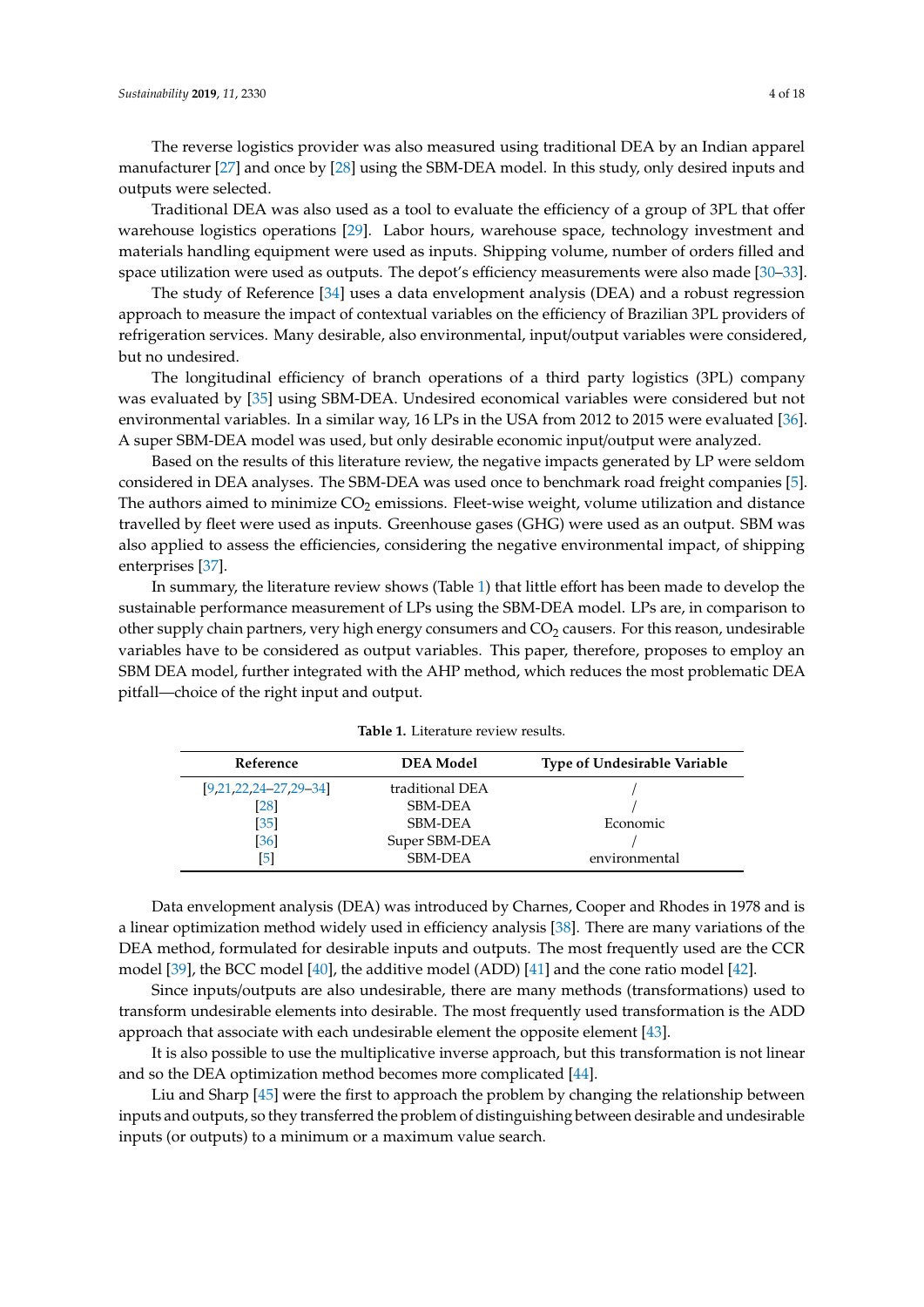The reverse logistics provider was also measured using traditional DEA by an Indian apparel manufacturer [\[27\]](#page-16-3) and once by [\[28\]](#page-16-4) using the SBM-DEA model. In this study, only desired inputs and outputs were selected.

Traditional DEA was also used as a tool to evaluate the efficiency of a group of 3PL that offer warehouse logistics operations [\[29\]](#page-16-5). Labor hours, warehouse space, technology investment and materials handling equipment were used as inputs. Shipping volume, number of orders filled and space utilization were used as outputs. The depot's efficiency measurements were also made [\[30–](#page-16-6)[33\]](#page-16-7).

The study of Reference [\[34\]](#page-16-8) uses a data envelopment analysis (DEA) and a robust regression approach to measure the impact of contextual variables on the efficiency of Brazilian 3PL providers of refrigeration services. Many desirable, also environmental, input/output variables were considered, but no undesired.

The longitudinal efficiency of branch operations of a third party logistics (3PL) company was evaluated by [\[35\]](#page-16-9) using SBM-DEA. Undesired economical variables were considered but not environmental variables. In a similar way, 16 LPs in the USA from 2012 to 2015 were evaluated [\[36\]](#page-16-10). A super SBM-DEA model was used, but only desirable economic input/output were analyzed.

Based on the results of this literature review, the negative impacts generated by LP were seldom considered in DEA analyses. The SBM-DEA was used once to benchmark road freight companies [\[5\]](#page-15-4). The authors aimed to minimize  $CO<sub>2</sub>$  emissions. Fleet-wise weight, volume utilization and distance travelled by fleet were used as inputs. Greenhouse gases (GHG) were used as an output. SBM was also applied to assess the efficiencies, considering the negative environmental impact, of shipping enterprises [\[37\]](#page-16-11).

In summary, the literature review shows (Table [1\)](#page-3-0) that little effort has been made to develop the sustainable performance measurement of LPs using the SBM-DEA model. LPs are, in comparison to other supply chain partners, very high energy consumers and  $CO<sub>2</sub>$  causers. For this reason, undesirable variables have to be considered as output variables. This paper, therefore, proposes to employ an SBM DEA model, further integrated with the AHP method, which reduces the most problematic DEA pitfall—choice of the right input and output.

<span id="page-3-0"></span>

| Reference               | <b>DEA</b> Model | <b>Type of Undesirable Variable</b> |
|-------------------------|------------------|-------------------------------------|
| $[9,21,22,24-27,29-34]$ | traditional DEA  |                                     |
| [28]                    | <b>SBM-DEA</b>   |                                     |
| [35]                    | <b>SBM-DEA</b>   | Economic                            |
| [36]                    | Super SBM-DEA    |                                     |
|                         | <b>SBM-DEA</b>   | environmental                       |

**Table 1.** Literature review results.

Data envelopment analysis (DEA) was introduced by Charnes, Cooper and Rhodes in 1978 and is a linear optimization method widely used in efficiency analysis [\[38\]](#page-16-12). There are many variations of the DEA method, formulated for desirable inputs and outputs. The most frequently used are the CCR model [\[39\]](#page-16-13), the BCC model [\[40\]](#page-16-14), the additive model (ADD) [\[41\]](#page-16-15) and the cone ratio model [\[42\]](#page-16-16).

Since inputs/outputs are also undesirable, there are many methods (transformations) used to transform undesirable elements into desirable. The most frequently used transformation is the ADD approach that associate with each undesirable element the opposite element [\[43\]](#page-16-17).

It is also possible to use the multiplicative inverse approach, but this transformation is not linear and so the DEA optimization method becomes more complicated [\[44\]](#page-16-18).

Liu and Sharp [\[45\]](#page-16-19) were the first to approach the problem by changing the relationship between inputs and outputs, so they transferred the problem of distinguishing between desirable and undesirable inputs (or outputs) to a minimum or a maximum value search.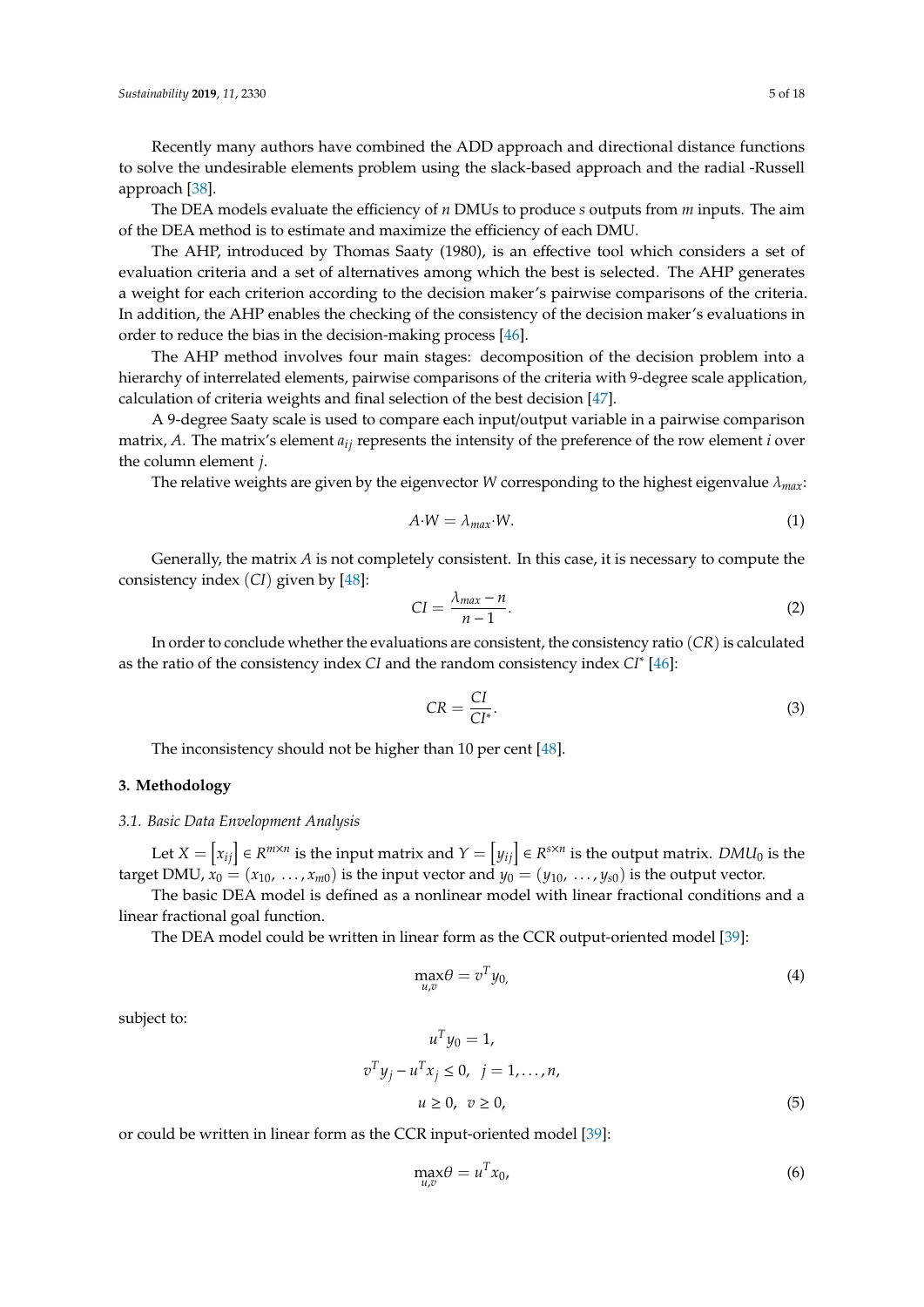Recently many authors have combined the ADD approach and directional distance functions to solve the undesirable elements problem using the slack-based approach and the radial -Russell approach [\[38\]](#page-16-12).

The DEA models evaluate the efficiency of *n* DMUs to produce *s* outputs from *m* inputs. The aim of the DEA method is to estimate and maximize the efficiency of each DMU.

The AHP, introduced by Thomas Saaty (1980), is an effective tool which considers a set of evaluation criteria and a set of alternatives among which the best is selected. The AHP generates a weight for each criterion according to the decision maker's pairwise comparisons of the criteria. In addition, the AHP enables the checking of the consistency of the decision maker's evaluations in order to reduce the bias in the decision-making process [\[46\]](#page-16-20).

The AHP method involves four main stages: decomposition of the decision problem into a hierarchy of interrelated elements, pairwise comparisons of the criteria with 9-degree scale application, calculation of criteria weights and final selection of the best decision [\[47\]](#page-16-21).

A 9-degree Saaty scale is used to compare each input/output variable in a pairwise comparison matrix, *A*. The matrix's element *aij* represents the intensity of the preference of the row element *i* over the column element *j*.

The relative weights are given by the eigenvector *W* corresponding to the highest eigenvalue λ*max*:

$$
A \cdot W = \lambda_{max} \cdot W. \tag{1}
$$

Generally, the matrix *A* is not completely consistent. In this case, it is necessary to compute the consistency index (*CI*) given by [\[48\]](#page-16-22):

$$
CI = \frac{\lambda_{max} - n}{n - 1}.
$$
 (2)

In order to conclude whether the evaluations are consistent, the consistency ratio (*CR*) is calculated as the ratio of the consistency index *CI* and the random consistency index *CI*<sup>∗</sup> [\[46\]](#page-16-20):

$$
CR = \frac{CI}{CI^*}.
$$

The inconsistency should not be higher than 10 per cent [\[48\]](#page-16-22).

#### <span id="page-4-0"></span>**3. Methodology**

## *3.1. Basic Data Envelopment Analysis*

Let  $X = \bigl[x_{ij}\bigr] \in R^{m \times n}$  is the input matrix and  $Y = \bigl[y_{ij}\bigr] \in R^{s \times n}$  is the output matrix.  $DMU_0$  is the target DMU,  $\dot{x}_0 = (x_{10}, \ldots, x_{m0})$  is the input vector and  $y_0 = (y_{10}, \ldots, y_{s0})$  is the output vector.

The basic DEA model is defined as a nonlinear model with linear fractional conditions and a linear fractional goal function.

The DEA model could be written in linear form as the CCR output-oriented model [\[39\]](#page-16-13):

$$
\max_{u,v} \theta = v^T y_0,\tag{4}
$$

subject to:

$$
uTy0 = 1,
$$
  

$$
vTyj - uTxj \le 0, \quad j = 1,..., n,
$$
  

$$
u \ge 0, \quad v \ge 0,
$$
 (5)

or could be written in linear form as the CCR input-oriented model [\[39\]](#page-16-13):

$$
\max_{u,v} \theta = u^T x_0,\tag{6}
$$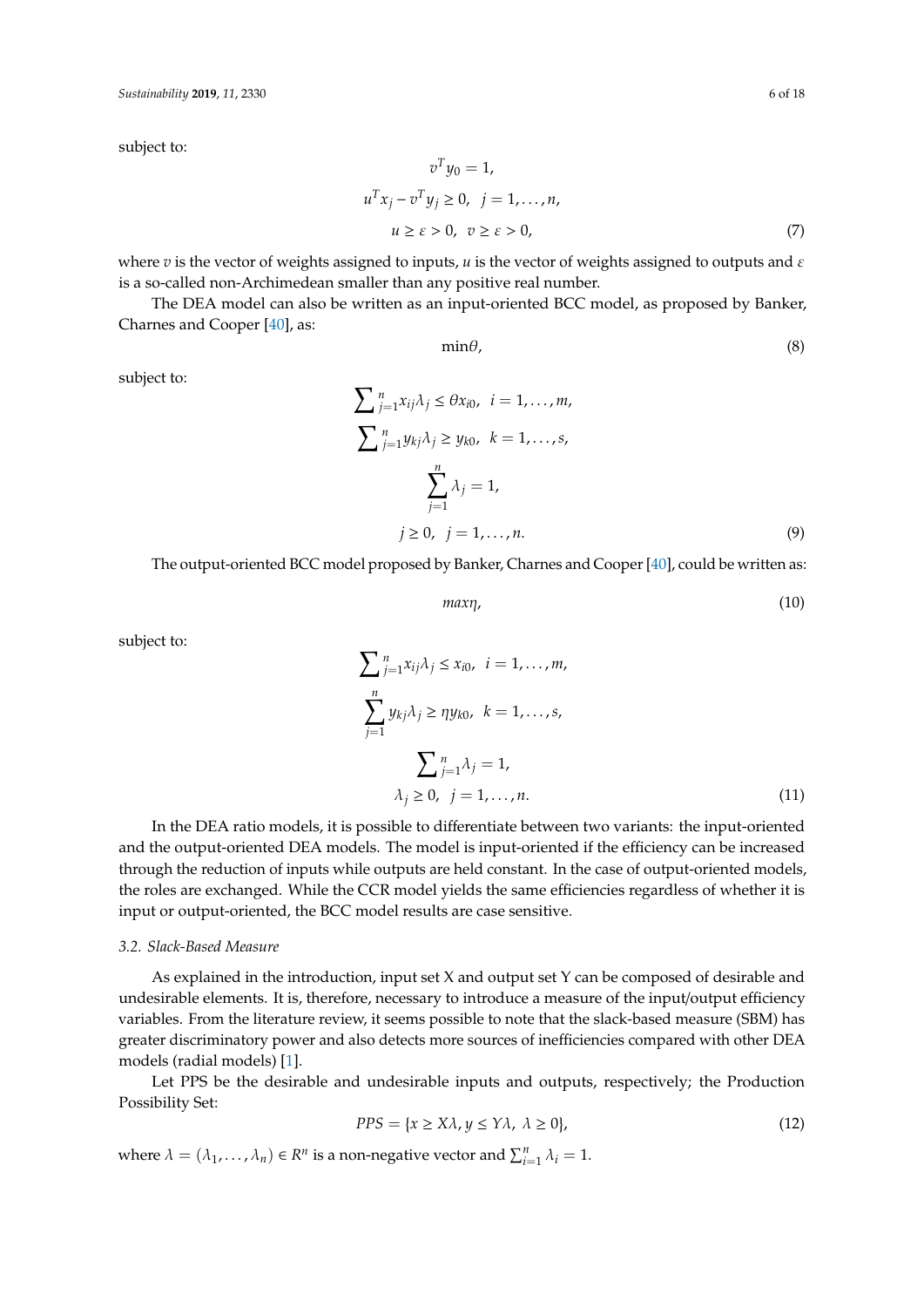subject to:

$$
v^T y_0 = 1,
$$
  
\n
$$
u^T x_j - v^T y_j \ge 0, \quad j = 1, \dots, n,
$$
  
\n
$$
u \ge \varepsilon > 0, \quad v \ge \varepsilon > 0,
$$
\n(7)

where  $v$  is the vector of weights assigned to inputs,  $u$  is the vector of weights assigned to outputs and  $\varepsilon$ is a so-called non-Archimedean smaller than any positive real number.

The DEA model can also be written as an input-oriented BCC model, as proposed by Banker, Charnes and Cooper [\[40\]](#page-16-14), as:

 $\min\theta$ , (8)

subject to:

$$
\sum_{j=1}^{n} x_{ij} \lambda_j \le \theta x_{i0}, \quad i = 1, ..., m,
$$
  

$$
\sum_{j=1}^{n} y_{kj} \lambda_j \ge y_{k0}, \quad k = 1, ..., s,
$$
  

$$
\sum_{j=1}^{n} \lambda_j = 1,
$$
  

$$
j \ge 0, \quad j = 1, ..., n.
$$
  
(9)

The output-oriented BCC model proposed by Banker, Charnes and Cooper [\[40\]](#page-16-14), could be written as:

$$
max\eta,\tag{10}
$$

subject to:

$$
\sum_{j=1}^{n} x_{ij} \lambda_j \le x_{i0}, \quad i = 1, \dots, m,
$$
\n
$$
\sum_{j=1}^{n} y_{kj} \lambda_j \ge \eta y_{k0}, \quad k = 1, \dots, s,
$$
\n
$$
\sum_{j=1}^{n} \lambda_j = 1,
$$
\n
$$
\lambda_j \ge 0, \quad j = 1, \dots, n.
$$
\n(11)

In the DEA ratio models, it is possible to differentiate between two variants: the input-oriented and the output-oriented DEA models. The model is input-oriented if the efficiency can be increased through the reduction of inputs while outputs are held constant. In the case of output-oriented models, the roles are exchanged. While the CCR model yields the same efficiencies regardless of whether it is input or output-oriented, the BCC model results are case sensitive.

## *3.2. Slack-Based Measure*

As explained in the introduction, input set X and output set Y can be composed of desirable and undesirable elements. It is, therefore, necessary to introduce a measure of the input/output efficiency variables. From the literature review, it seems possible to note that the slack-based measure (SBM) has greater discriminatory power and also detects more sources of inefficiencies compared with other DEA models (radial models) [\[1\]](#page-15-0).

Let PPS be the desirable and undesirable inputs and outputs, respectively; the Production Possibility Set:

$$
PPS = \{x \ge X\lambda, y \le Y\lambda, \ \lambda \ge 0\},\tag{12}
$$

where  $\lambda = (\lambda_1, ..., \lambda_n) \in R^n$  is a non-negative vector and  $\sum_{i=1}^n \lambda_i = 1$ .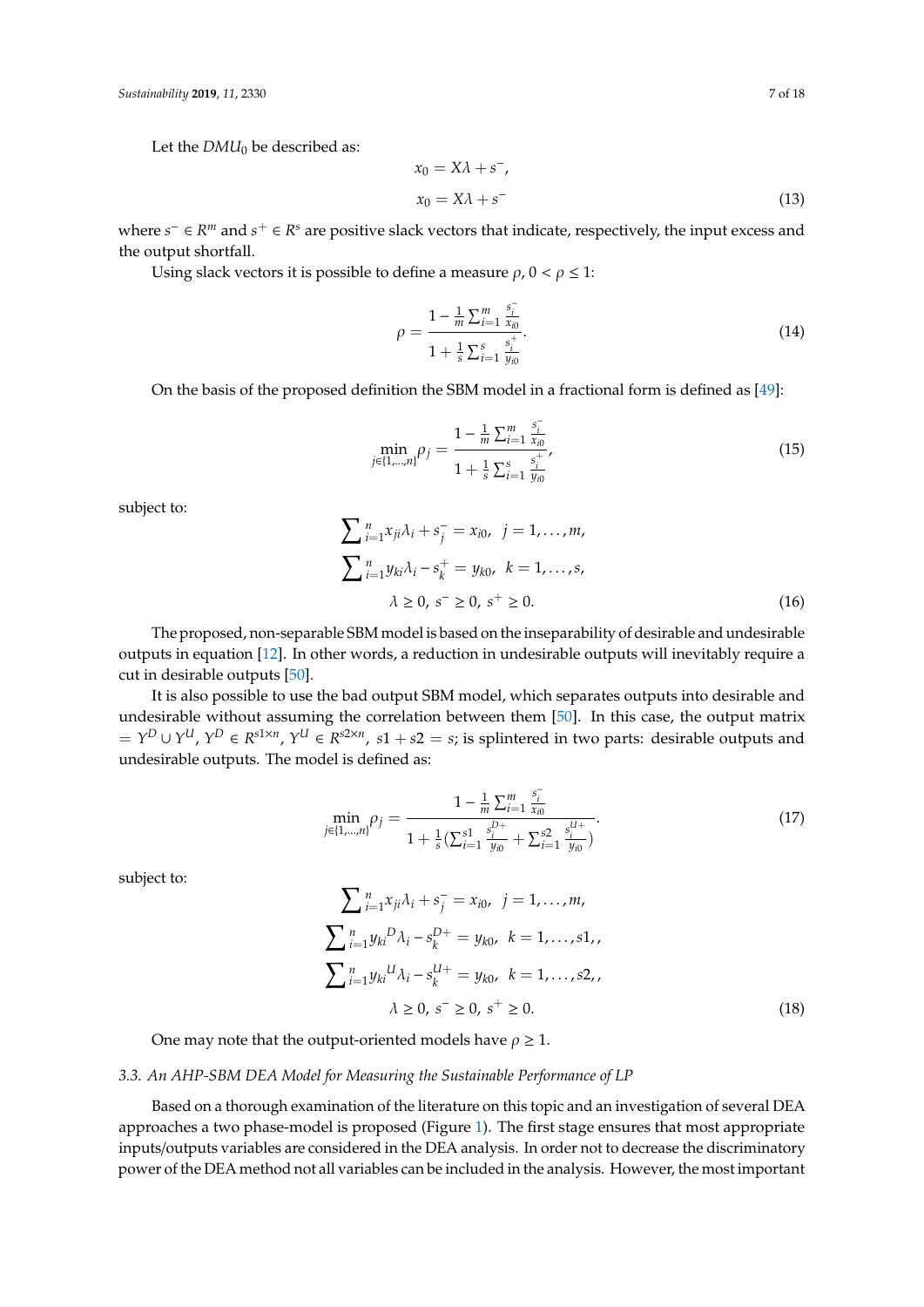Let the  $DMU_0$  be described as:

$$
x_0 = X\lambda + s^-,
$$
  
\n
$$
x_0 = X\lambda + s^-
$$
\n(13)

where  $s^-$  ∈  $R^m$  and  $s^+$  ∈  $R^s$  are positive slack vectors that indicate, respectively, the input excess and the output shortfall.

Using slack vectors it is possible to define a measure  $\rho$ ,  $0 < \rho \leq 1$ :

$$
\rho = \frac{1 - \frac{1}{m} \sum_{i=1}^{m} \frac{s_i^{-}}{x_{i0}}}{1 + \frac{1}{s} \sum_{i=1}^{s} \frac{s_i^{+}}{y_{i0}}}. \tag{14}
$$

On the basis of the proposed definition the SBM model in a fractional form is defined as [\[49\]](#page-16-23):

$$
\min_{j \in \{1,\dots,n\}} \rho_j = \frac{1 - \frac{1}{m} \sum_{i=1}^m \frac{s_i^-}{x_{i0}}}{1 + \frac{1}{s} \sum_{i=1}^s \frac{s_i^+}{y_{i0}}},\tag{15}
$$

subject to:

$$
\sum_{i=1}^{n} x_{ji} \lambda_i + s_j^- = x_{i0}, \quad j = 1, ..., m,
$$
  

$$
\sum_{i=1}^{n} y_{ki} \lambda_i - s_k^+ = y_{k0}, \quad k = 1, ..., s,
$$
  

$$
\lambda \ge 0, \quad s^- \ge 0, \quad s^+ \ge 0.
$$
 (16)

The proposed, non-separable SBM model is based on the inseparability of desirable and undesirable outputs in equation [\[12\]](#page-15-18). In other words, a reduction in undesirable outputs will inevitably require a cut in desirable outputs [\[50\]](#page-17-0).

It is also possible to use the bad output SBM model, which separates outputs into desirable and undesirable without assuming the correlation between them [\[50\]](#page-17-0). In this case, the output matrix  $Y^D \cup Y^U$ ,  $Y^D \in R^{s1 \times n}$ ,  $Y^U \in R^{s2 \times n}$ ,  $s1 + s2 = s$ ; is splintered in two parts: desirable outputs and undesirable outputs. The model is defined as:

$$
\min_{j \in \{1,\dots,n\}} \rho_j = \frac{1 - \frac{1}{m} \sum_{i=1}^m \frac{s_i^-}{x_{i0}}}{1 + \frac{1}{s} (\sum_{i=1}^{s1} \frac{s_i^{D+}}{y_{i0}} + \sum_{i=1}^{s2} \frac{s_i^{U+}}{y_{i0}})}.
$$
(17)

subject to:

$$
\sum_{i=1}^{n} x_{ji} \lambda_i + s_j^- = x_{i0}, \quad j = 1, ..., m,
$$
  

$$
\sum_{i=1}^{n} y_{ki}{}^{D} \lambda_i - s_k^{D+} = y_{k0}, \quad k = 1, ..., s1,
$$
  

$$
\sum_{i=1}^{n} y_{ki}{}^{U} \lambda_i - s_k^{U+} = y_{k0}, \quad k = 1, ..., s2,
$$
  

$$
\lambda \ge 0, \quad s^- \ge 0, \quad s^+ \ge 0.
$$
 (18)

One may note that the output-oriented models have  $\rho \geq 1$ .

## *3.3. An AHP-SBM DEA Model for Measuring the Sustainable Performance of LP*

Based on a thorough examination of the literature on this topic and an investigation of several DEA approaches a two phase-model is proposed (Figure [1\)](#page-7-1). The first stage ensures that most appropriate inputs/outputs variables are considered in the DEA analysis. In order not to decrease the discriminatory power of the DEA method not all variables can be included in the analysis. However, the most important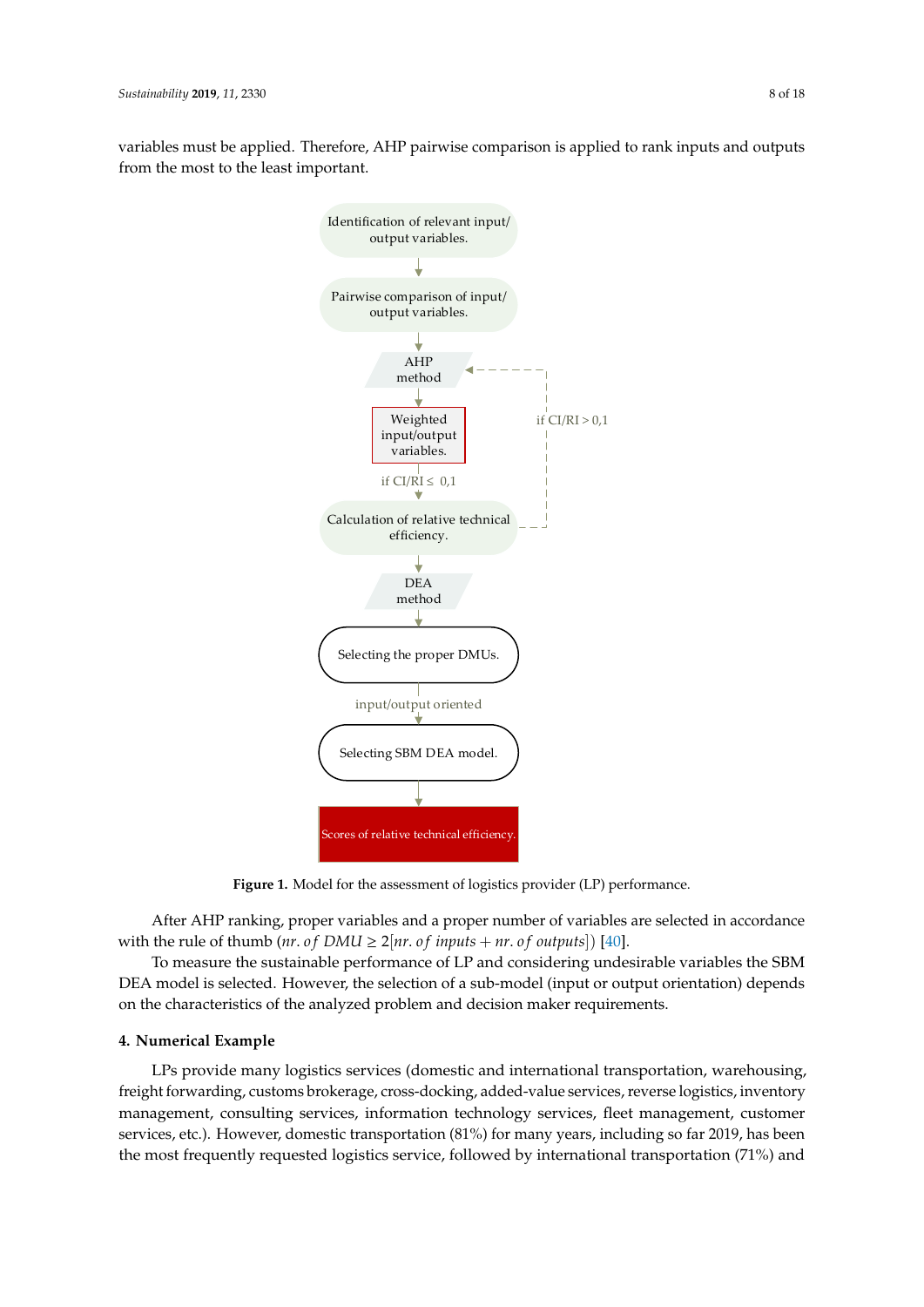<span id="page-7-1"></span>variables must be applied. Therefore, AHP pairwise comparison is applied to rank inputs and outputs from the most to the least important.



**Figure 1.** Model for the assessment of logistics provider (LP) performance. **Figure 1.** Model for the assessment of logistics provider (LP) performance.

After AHP ranking, proper variables and a proper number of variables are selected in accordance with the rule of thumb (*nr*. *of DMU*  $\geq$  2[*nr*. *of inputs* + *nr*. *of outputs*]) [\[40\]](#page-16-14).

To measure the sustainable performance of LP and considering undesirable variables the SBM DEA model is selected. However, the selection of a sub-model (input or output orientation) depends in the characteristics of the analyzed problem and decision maker requirements  $\sim$  However, domestic transportation (81%) for many years, including so far many years, including so far many years, including so far many years, including so far many years, including so far many years, including so far on the characteristics of the analyzed problem and decision maker requirements.

## <span id="page-7-0"></span>2019, has been the most frequently requested logistics service, followed by international **4. Numerical Example**

 $\mathbf{r}_1$  and  $\mathbf{r}_2$ . The authors, the authors, the authors, the authors, therefore, decided to apply the apply the apply the apply the apply the apply the apply the apply the apply the apply the apply the apply the ap LPs provide many logistics services (domestic and international transportation, warehousing, management, consulting services, information technology services, fleet management, customer the most frequently requested logistics service, followed by international transportation (71%) and freight forwarding, customs brokerage, cross-docking, added-value services, reverse logistics, inventory services, etc.). However, domestic transportation (81%) for many years, including so far 2019, has been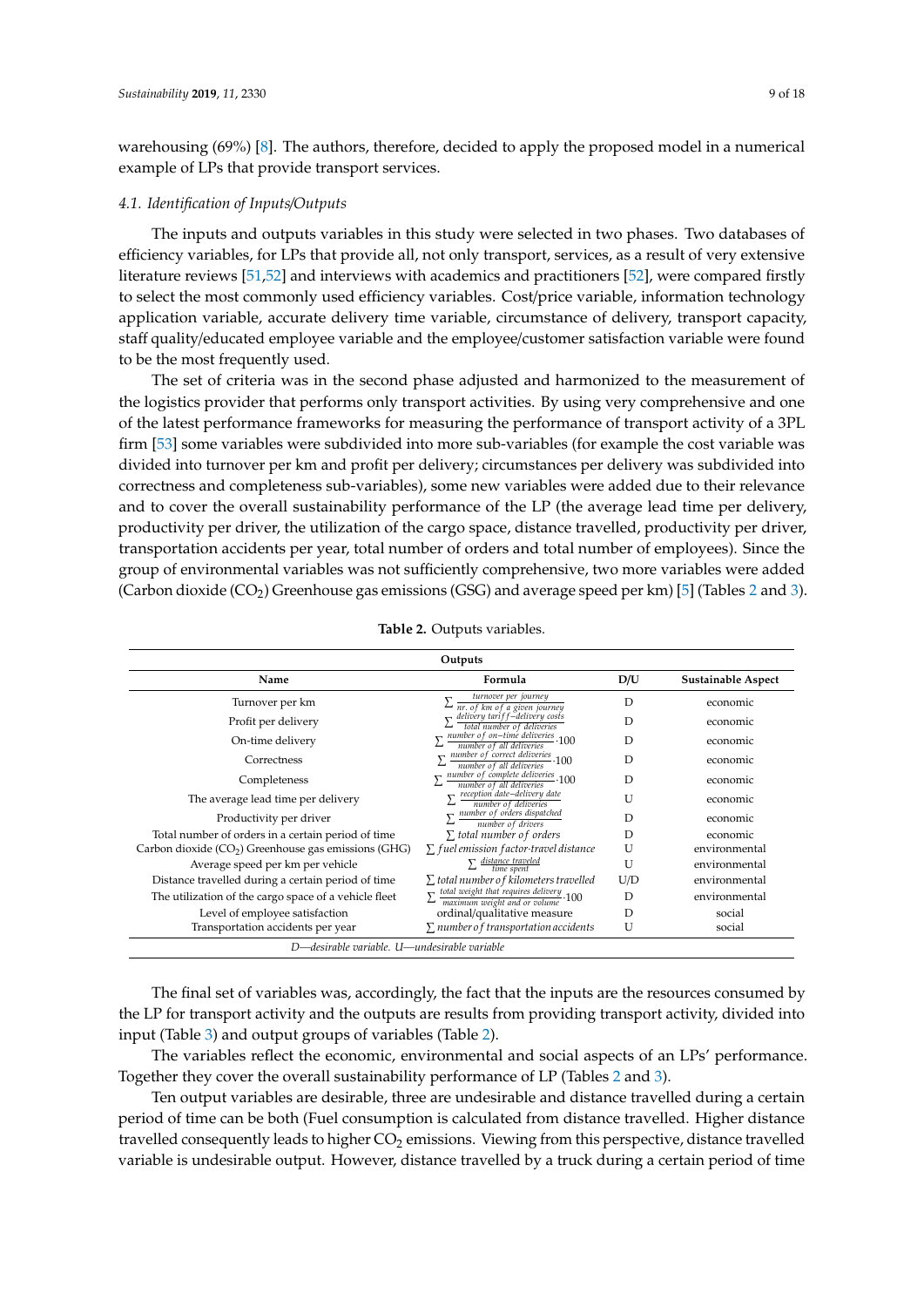warehousing (69%) [\[8\]](#page-15-7). The authors, therefore, decided to apply the proposed model in a numerical example of LPs that provide transport services.

## *4.1. Identification of Inputs*/*Outputs*

The inputs and outputs variables in this study were selected in two phases. Two databases of efficiency variables, for LPs that provide all, not only transport, services, as a result of very extensive literature reviews [\[51](#page-17-1)[,52\]](#page-17-2) and interviews with academics and practitioners [\[52\]](#page-17-2), were compared firstly to select the most commonly used efficiency variables. Cost/price variable, information technology application variable, accurate delivery time variable, circumstance of delivery, transport capacity, staff quality/educated employee variable and the employee/customer satisfaction variable were found to be the most frequently used.

The set of criteria was in the second phase adjusted and harmonized to the measurement of the logistics provider that performs only transport activities. By using very comprehensive and one of the latest performance frameworks for measuring the performance of transport activity of a 3PL firm [\[53\]](#page-17-3) some variables were subdivided into more sub-variables (for example the cost variable was divided into turnover per km and profit per delivery; circumstances per delivery was subdivided into correctness and completeness sub-variables), some new variables were added due to their relevance and to cover the overall sustainability performance of the LP (the average lead time per delivery, productivity per driver, the utilization of the cargo space, distance travelled, productivity per driver, transportation accidents per year, total number of orders and total number of employees). Since the group of environmental variables was not sufficiently comprehensive, two more variables were added (Carbon dioxide (CO<sub>2</sub>) Greenhouse gas emissions (GSG) and average speed per km) [\[5\]](#page-15-4) (Tables [2](#page-8-0) and [3\)](#page-9-0).

<span id="page-8-0"></span>

|                                                                  | Outputs                                                                                                                         |     |                    |  |  |  |  |  |  |
|------------------------------------------------------------------|---------------------------------------------------------------------------------------------------------------------------------|-----|--------------------|--|--|--|--|--|--|
| Name                                                             | Formula                                                                                                                         | D/U | Sustainable Aspect |  |  |  |  |  |  |
| Turnover per km                                                  | turnover per journey                                                                                                            | D   | economic           |  |  |  |  |  |  |
| Profit per delivery                                              | nr. of km of a given journey<br>delivery tariff-delivery costs<br>total number of deliveries                                    | D   | economic           |  |  |  |  |  |  |
| On-time delivery                                                 | number of on-time deliveries 100<br>number of all deliveries                                                                    | D   | economic           |  |  |  |  |  |  |
| Correctness                                                      | $\frac{number\ of\ correct\ deliveries}{number\ of\ all\ deliveries} \cdot 100$                                                 | D   | economic           |  |  |  |  |  |  |
| Completeness                                                     | $\sum \frac{number\ of\ complete\ deliveries}{number\ of\ all\ deliveries} \cdot 100$                                           | D   | economic           |  |  |  |  |  |  |
| The average lead time per delivery                               | $\sum_{n=1}^{\infty} \frac{\text{reception date}-\text{delivery}}{\text{mott of the body of the body}}$<br>number of deliveries | U   | economic           |  |  |  |  |  |  |
| Productivity per driver                                          | $\sum \frac{number\ of\ orders\ displaced}{$<br>number of drivers                                                               | D   | economic           |  |  |  |  |  |  |
| Total number of orders in a certain period of time               | $\Sigma$ total number of orders                                                                                                 | D   | economic           |  |  |  |  |  |  |
| Carbon dioxide (CO <sub>2</sub> ) Greenhouse gas emissions (GHG) | $\Sigma$ fuel emission factor travel distance                                                                                   | U   | environmental      |  |  |  |  |  |  |
| Average speed per km per vehicle                                 | $\sum$ distance traveled<br>time spent                                                                                          | U   | environmental      |  |  |  |  |  |  |
| Distance travelled during a certain period of time               | $\Sigma$ total number of kilometers travelled                                                                                   | U/D | environmental      |  |  |  |  |  |  |
| The utilization of the cargo space of a vehicle fleet            | $\overline{\sum_{\text{maximum weight and or volume}} 100}$                                                                     | D   | environmental      |  |  |  |  |  |  |
| Level of employee satisfaction                                   | ordinal/qualitative measure                                                                                                     | D   | social             |  |  |  |  |  |  |
| Transportation accidents per year                                | $\Sigma$ number of transportation accidents                                                                                     | U   | social             |  |  |  |  |  |  |
|                                                                  | D—desirable variable. U—undesirable variable                                                                                    |     |                    |  |  |  |  |  |  |

|  |  | Table 2. Outputs variables. |
|--|--|-----------------------------|
|--|--|-----------------------------|

The final set of variables was, accordingly, the fact that the inputs are the resources consumed by the LP for transport activity and the outputs are results from providing transport activity, divided into input (Table [3\)](#page-9-0) and output groups of variables (Table [2\)](#page-8-0).

The variables reflect the economic, environmental and social aspects of an LPs' performance. Together they cover the overall sustainability performance of LP (Tables [2](#page-8-0) and [3\)](#page-9-0).

Ten output variables are desirable, three are undesirable and distance travelled during a certain period of time can be both (Fuel consumption is calculated from distance travelled. Higher distance travelled consequently leads to higher  $CO<sub>2</sub>$  emissions. Viewing from this perspective, distance travelled variable is undesirable output. However, distance travelled by a truck during a certain period of time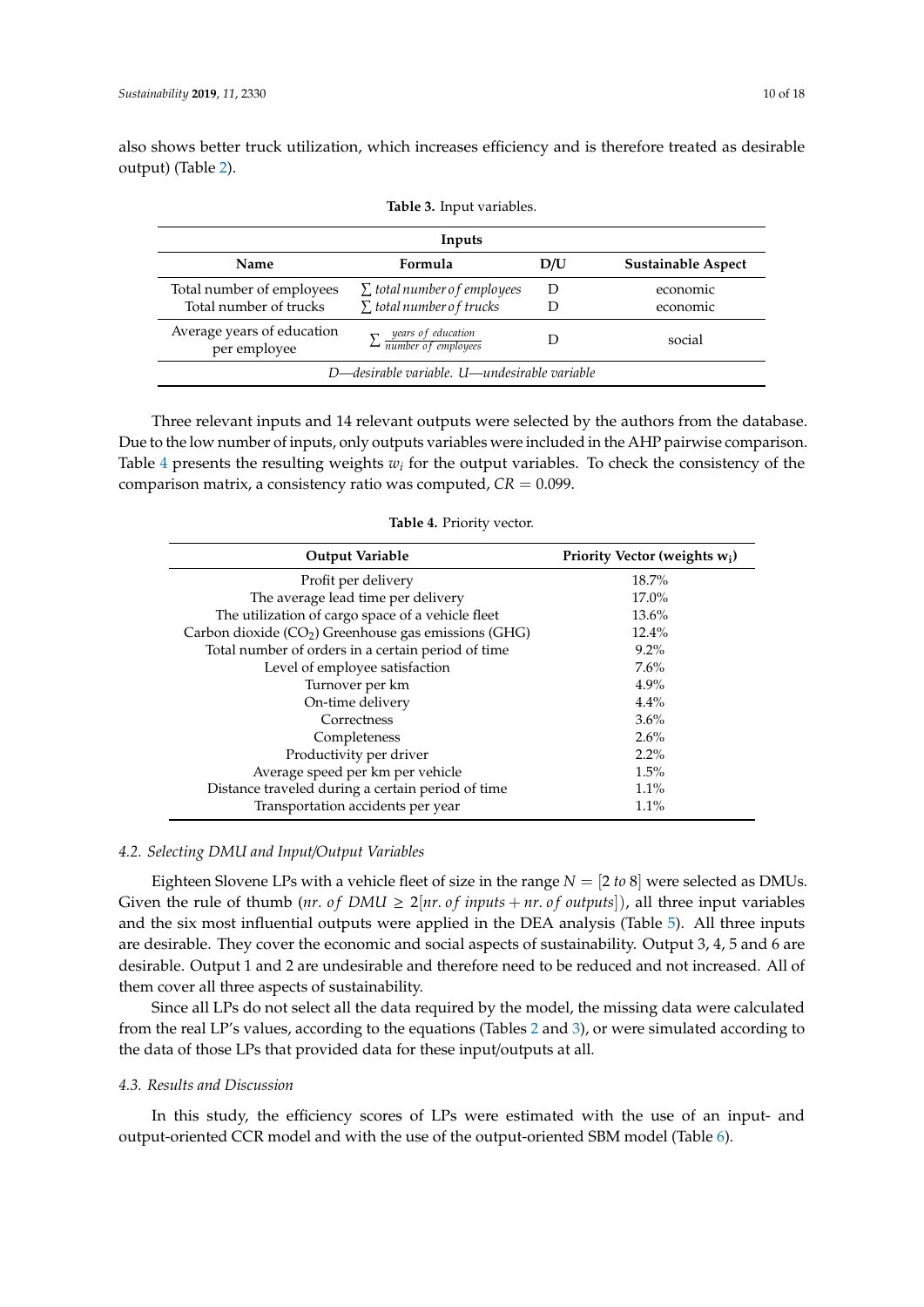<span id="page-9-0"></span>also shows better truck utilization, which increases efficiency and is therefore treated as desirable output) (Table [2\)](#page-8-0).

|                                                     | Inputs                                                                |     |                           |  |  |  |  |  |
|-----------------------------------------------------|-----------------------------------------------------------------------|-----|---------------------------|--|--|--|--|--|
| Name                                                | Formula                                                               | D/U | <b>Sustainable Aspect</b> |  |  |  |  |  |
| Total number of employees<br>Total number of trucks | $\Sigma$ total number of employees<br>$\Sigma$ total number of trucks | Ð   | economic<br>economic      |  |  |  |  |  |
| Average years of education<br>per employee          | $\sum$ <i>years of education</i><br>$\sum$ <i>number of employees</i> |     | social                    |  |  |  |  |  |
| D-desirable variable. U-undesirable variable        |                                                                       |     |                           |  |  |  |  |  |

**Table 3.** Input variables.

Three relevant inputs and 14 relevant outputs were selected by the authors from the database. Due to the low number of inputs, only outputs variables were included in the AHP pairwise comparison. Table [4](#page-9-1) presents the resulting weights  $w_i$  for the output variables. To check the consistency of the comparison matrix, a consistency ratio was computed,  $CR = 0.099$ .

<span id="page-9-1"></span>

| <b>Output Variable</b>                                | Priority Vector (weights w <sub>i</sub> ) |
|-------------------------------------------------------|-------------------------------------------|
| Profit per delivery                                   | 18.7%                                     |
| The average lead time per delivery                    | 17.0%                                     |
| The utilization of cargo space of a vehicle fleet     | 13.6%                                     |
| Carbon dioxide $(CO2)$ Greenhouse gas emissions (GHG) | 12.4%                                     |
| Total number of orders in a certain period of time    | $9.2\%$                                   |
| Level of employee satisfaction                        | 7.6%                                      |
| Turnover per km                                       | $4.9\%$                                   |
| On-time delivery                                      | 4.4%                                      |
| Correctness                                           | 3.6%                                      |
| Completeness                                          | 2.6%                                      |
| Productivity per driver                               | $2.2\%$                                   |
| Average speed per km per vehicle                      | 1.5%                                      |
| Distance traveled during a certain period of time     | 1.1%                                      |
| Transportation accidents per year                     | $1.1\%$                                   |

|  | Table 4. Priority vector. |  |
|--|---------------------------|--|
|--|---------------------------|--|

## *4.2. Selecting DMU and Input*/*Output Variables*

Eighteen Slovene LPs with a vehicle fleet of size in the range  $N = [2 \text{ to } 8]$  were selected as DMUs. Given the rule of thumb (*nr. of DMU*  $\geq 2$  [*nr. of inputs* + *nr. of outputs*]), all three input variables and the six most influential outputs were applied in the DEA analysis (Table [5\)](#page-10-0). All three inputs are desirable. They cover the economic and social aspects of sustainability. Output 3, 4, 5 and 6 are desirable. Output 1 and 2 are undesirable and therefore need to be reduced and not increased. All of them cover all three aspects of sustainability.

Since all LPs do not select all the data required by the model, the missing data were calculated from the real LP's values, according to the equations (Tables [2](#page-8-0) and [3\)](#page-9-0), or were simulated according to the data of those LPs that provided data for these input/outputs at all.

## *4.3. Results and Discussion*

In this study, the efficiency scores of LPs were estimated with the use of an input- and output-oriented CCR model and with the use of the output-oriented SBM model (Table [6\)](#page-11-0).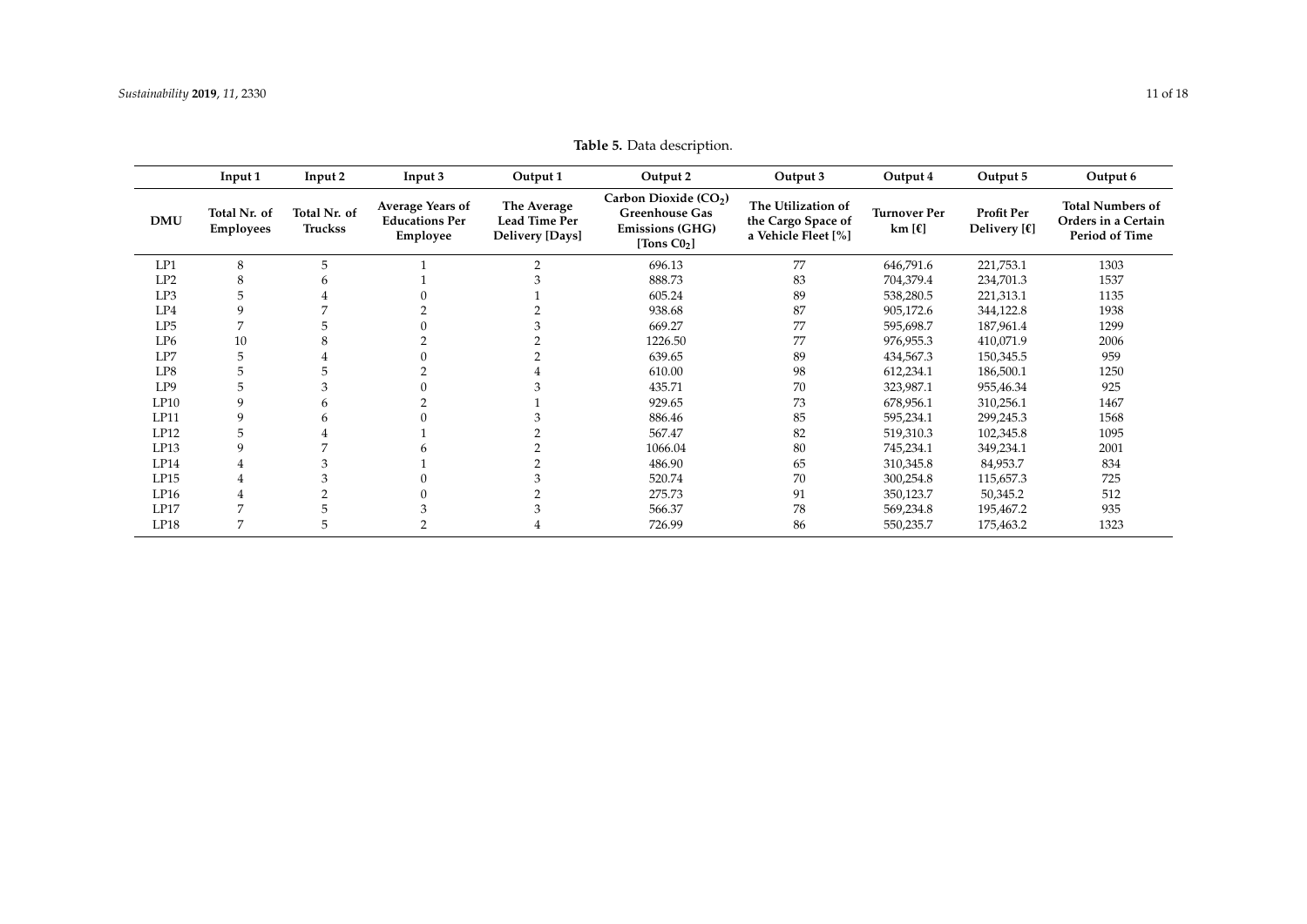<span id="page-10-0"></span>

|            | Input 1                          | Input 2                        | Input 3                                                      | Output 1                                               | Output 2                                                                                              | Output 3                                                        | Output 4                                        | Output 5                                     | Output 6                                                         |
|------------|----------------------------------|--------------------------------|--------------------------------------------------------------|--------------------------------------------------------|-------------------------------------------------------------------------------------------------------|-----------------------------------------------------------------|-------------------------------------------------|----------------------------------------------|------------------------------------------------------------------|
| <b>DMU</b> | Total Nr. of<br><b>Employees</b> | Total Nr. of<br><b>Truckss</b> | <b>Average Years of</b><br><b>Educations Per</b><br>Employee | The Average<br><b>Lead Time Per</b><br>Delivery [Days] | Carbon Dioxide (CO <sub>2</sub> )<br><b>Greenhouse Gas</b><br><b>Emissions (GHG)</b><br>[Tons $C02$ ] | The Utilization of<br>the Cargo Space of<br>a Vehicle Fleet [%] | <b>Turnover Per</b><br>km $[\mathbf{\epsilon}]$ | Profit Per<br>Delivery $[\mathbf{\epsilon}]$ | <b>Total Numbers of</b><br>Orders in a Certain<br>Period of Time |
| LP1        | 8                                | 5                              |                                                              |                                                        | 696.13                                                                                                | 77                                                              | 646,791.6                                       | 221,753.1                                    | 1303                                                             |
| LP2        | 8                                |                                |                                                              |                                                        | 888.73                                                                                                | 83                                                              | 704,379.4                                       | 234,701.3                                    | 1537                                                             |
| LP3        | 5                                |                                |                                                              |                                                        | 605.24                                                                                                | 89                                                              | 538,280.5                                       | 221,313.1                                    | 1135                                                             |
| LP4        |                                  |                                |                                                              |                                                        | 938.68                                                                                                | 87                                                              | 905,172.6                                       | 344,122.8                                    | 1938                                                             |
| LP5        |                                  |                                |                                                              |                                                        | 669.27                                                                                                | 77                                                              | 595,698.7                                       | 187,961.4                                    | 1299                                                             |
| LP6        | 10                               |                                |                                                              |                                                        | 1226.50                                                                                               | 77                                                              | 976,955.3                                       | 410,071.9                                    | 2006                                                             |
| LP7        |                                  |                                |                                                              |                                                        | 639.65                                                                                                | 89                                                              | 434,567.3                                       | 150,345.5                                    | 959                                                              |
| LP8        |                                  |                                |                                                              |                                                        | 610.00                                                                                                | 98                                                              | 612,234.1                                       | 186,500.1                                    | 1250                                                             |
| LP9        |                                  |                                |                                                              |                                                        | 435.71                                                                                                | 70                                                              | 323,987.1                                       | 955,46.34                                    | 925                                                              |
| LP10       |                                  |                                |                                                              |                                                        | 929.65                                                                                                | 73                                                              | 678,956.1                                       | 310,256.1                                    | 1467                                                             |
| LP11       | 9                                |                                |                                                              |                                                        | 886.46                                                                                                | 85                                                              | 595,234.1                                       | 299,245.3                                    | 1568                                                             |
| LP12       | 5                                |                                |                                                              |                                                        | 567.47                                                                                                | 82                                                              | 519,310.3                                       | 102,345.8                                    | 1095                                                             |
| LP13       | $\mathbf{Q}$                     |                                |                                                              |                                                        | 1066.04                                                                                               | 80                                                              | 745,234.1                                       | 349,234.1                                    | 2001                                                             |
| LP14       | 4                                |                                |                                                              |                                                        | 486.90                                                                                                | 65                                                              | 310,345.8                                       | 84,953.7                                     | 834                                                              |
| LP15       | 4                                |                                |                                                              |                                                        | 520.74                                                                                                | 70                                                              | 300,254.8                                       | 115,657.3                                    | 725                                                              |
| LP16       |                                  |                                |                                                              |                                                        | 275.73                                                                                                | 91                                                              | 350,123.7                                       | 50,345.2                                     | 512                                                              |
| LP17       |                                  |                                |                                                              |                                                        | 566.37                                                                                                | 78                                                              | 569,234.8                                       | 195,467.2                                    | 935                                                              |
| LP18       |                                  |                                |                                                              |                                                        | 726.99                                                                                                | 86                                                              | 550,235.7                                       | 175,463.2                                    | 1323                                                             |

**Table 5.** Data description.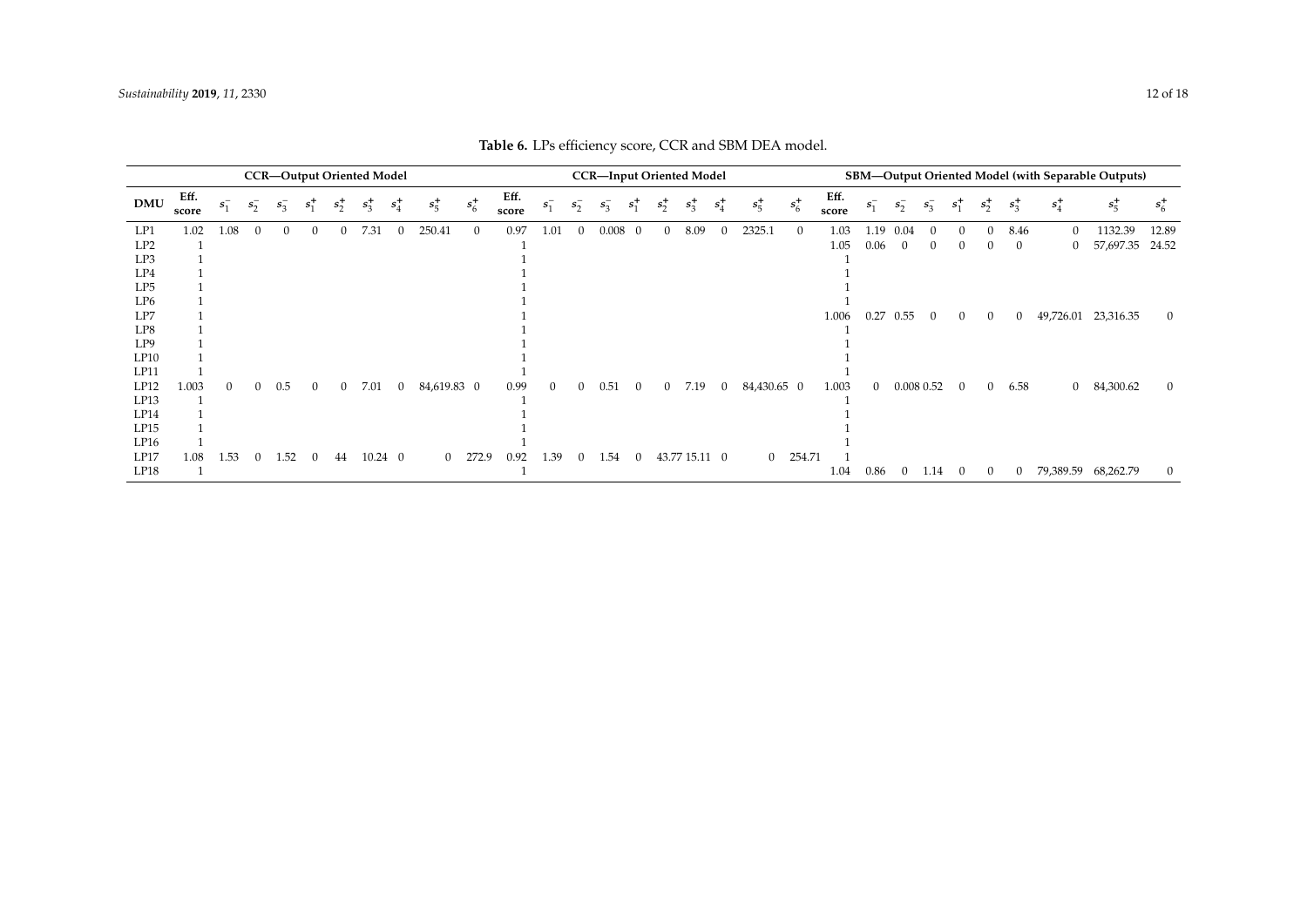<span id="page-11-0"></span>

| <b>CCR-Output Oriented Model</b> |               |          |              |          |                |                |                 | <b>CCR-Input Oriented Model</b> |             |                |               |                |              |         |                | SBM-Output Oriented Model (with Separable Outputs) |               |                |                |         |               |          |          |              |              |              |                |                |           |                |
|----------------------------------|---------------|----------|--------------|----------|----------------|----------------|-----------------|---------------------------------|-------------|----------------|---------------|----------------|--------------|---------|----------------|----------------------------------------------------|---------------|----------------|----------------|---------|---------------|----------|----------|--------------|--------------|--------------|----------------|----------------|-----------|----------------|
| <b>DMU</b>                       | Eff.<br>score | $s_1^-$  | $s_2^-$      | $s_3^-$  | $s_1^+$        | $s_2^+$        | $s_3^+$         | $s_4^+$                         | $s_5^+$     | $s_6^+$        | Eff.<br>score | $s_{1}^{-}$    | $s_{2}^{-}$  | $s_3^-$ | $s^+$          | $s_2^+$                                            | $s_3^+$       | $s_4^+$        | $s_5^+$        | $s_6^+$ | Eff.<br>score | $S_{1}$  | $s_2^-$  | $s_3^-$      | $s^+$        | $s_2^+$      | $s_3^+$        | $s_4^+$        | $s_5^+$   | $s_6^+$        |
| LP1                              | 1.02          | 1.08     | $\Omega$     | $\Omega$ | $\overline{0}$ | $\mathbf{0}$   | 7.31            | 0                               | 250.41      | $\overline{0}$ | 0.97          | 1.01           | $\mathbf{0}$ | 0.008   | $\overline{0}$ | $\overline{0}$                                     | 8.09          |                | 2325.1         |         | 1.03          | 1.19     | 0.04     | $\Omega$     | $\Omega$     | $\mathbf{0}$ | 8.46           | $\theta$       | 1132.39   | 12.89          |
| LP2                              |               |          |              |          |                |                |                 |                                 |             |                |               |                |              |         |                |                                                    |               |                |                |         | 1.05          | 0.06     | $\theta$ | $\theta$     | $\theta$     | $\theta$     | $\theta$       | $\mathbf{0}$   | 57,697.35 | 24.52          |
| LP3                              |               |          |              |          |                |                |                 |                                 |             |                |               |                |              |         |                |                                                    |               |                |                |         |               |          |          |              |              |              |                |                |           |                |
| LP4                              |               |          |              |          |                |                |                 |                                 |             |                |               |                |              |         |                |                                                    |               |                |                |         |               |          |          |              |              |              |                |                |           |                |
| LP5                              |               |          |              |          |                |                |                 |                                 |             |                |               |                |              |         |                |                                                    |               |                |                |         |               |          |          |              |              |              |                |                |           |                |
| LP <sub>6</sub>                  |               |          |              |          |                |                |                 |                                 |             |                |               |                |              |         |                |                                                    |               |                |                |         |               |          |          |              |              |              |                |                |           |                |
| LP7                              |               |          |              |          |                |                |                 |                                 |             |                |               |                |              |         |                |                                                    |               |                |                |         | 1.006         | 0.27     | 0.55     | $\mathbf{0}$ | $\mathbf{0}$ | $\mathbf{0}$ | $\theta$       | 49,726.01      | 23,316.35 | $\theta$       |
| LP8                              |               |          |              |          |                |                |                 |                                 |             |                |               |                |              |         |                |                                                    |               |                |                |         |               |          |          |              |              |              |                |                |           |                |
| LP9                              |               |          |              |          |                |                |                 |                                 |             |                |               |                |              |         |                |                                                    |               |                |                |         |               |          |          |              |              |              |                |                |           |                |
| LP10                             |               |          |              |          |                |                |                 |                                 |             |                |               |                |              |         |                |                                                    |               |                |                |         |               |          |          |              |              |              |                |                |           |                |
| LP11                             |               |          |              |          |                |                |                 |                                 |             |                |               |                |              |         |                |                                                    |               |                |                |         |               |          |          |              |              |              |                |                |           |                |
| LP12                             | 1.003         | $\theta$ | $\mathbf{0}$ | 0.5      | $\theta$       | $\overline{0}$ | 7.01            | $\mathbf{0}$                    | 84,619.83 0 |                | 0.99          | $\overline{0}$ | $\mathbf{0}$ | 0.51    | $\mathbf{0}$   | $\overline{0}$                                     | 7.19          | $\overline{0}$ | 84,430.65 0    |         | 1.003         | $\Omega$ |          | 0.008 0.52   | $\theta$     | $\mathbf{0}$ | 6.58           | $\overline{0}$ | 84,300.62 | $\overline{0}$ |
| LP13                             |               |          |              |          |                |                |                 |                                 |             |                |               |                |              |         |                |                                                    |               |                |                |         |               |          |          |              |              |              |                |                |           |                |
| LP14                             |               |          |              |          |                |                |                 |                                 |             |                |               |                |              |         |                |                                                    |               |                |                |         |               |          |          |              |              |              |                |                |           |                |
| LP15                             |               |          |              |          |                |                |                 |                                 |             |                |               |                |              |         |                |                                                    |               |                |                |         |               |          |          |              |              |              |                |                |           |                |
| LP16                             |               |          |              |          |                |                |                 |                                 |             |                |               |                |              |         |                |                                                    |               |                |                |         |               |          |          |              |              |              |                |                |           |                |
| LP17                             | 1.08          | 1.53     | $\theta$     | 1.52     | $\theta$       | 44             | $10.24 \quad 0$ |                                 |             | $0$ 272.9      | 0.92          | 1.39           | $\mathbf{0}$ | 1.54    | $\theta$       |                                                    | 43.77 15.11 0 |                | $\overline{0}$ | 254.71  |               |          |          |              |              |              |                |                |           |                |
| LP18                             |               |          |              |          |                |                |                 |                                 |             |                |               |                |              |         |                |                                                    |               |                |                |         | 1.04          | 0.86     | $\theta$ | 1.14         | $\theta$     | $\mathbf{0}$ | $\overline{0}$ | 79,389.59      | 68,262.79 | $\theta$       |

**Table 6.** LPs efficiency score, CCR and SBM DEA model.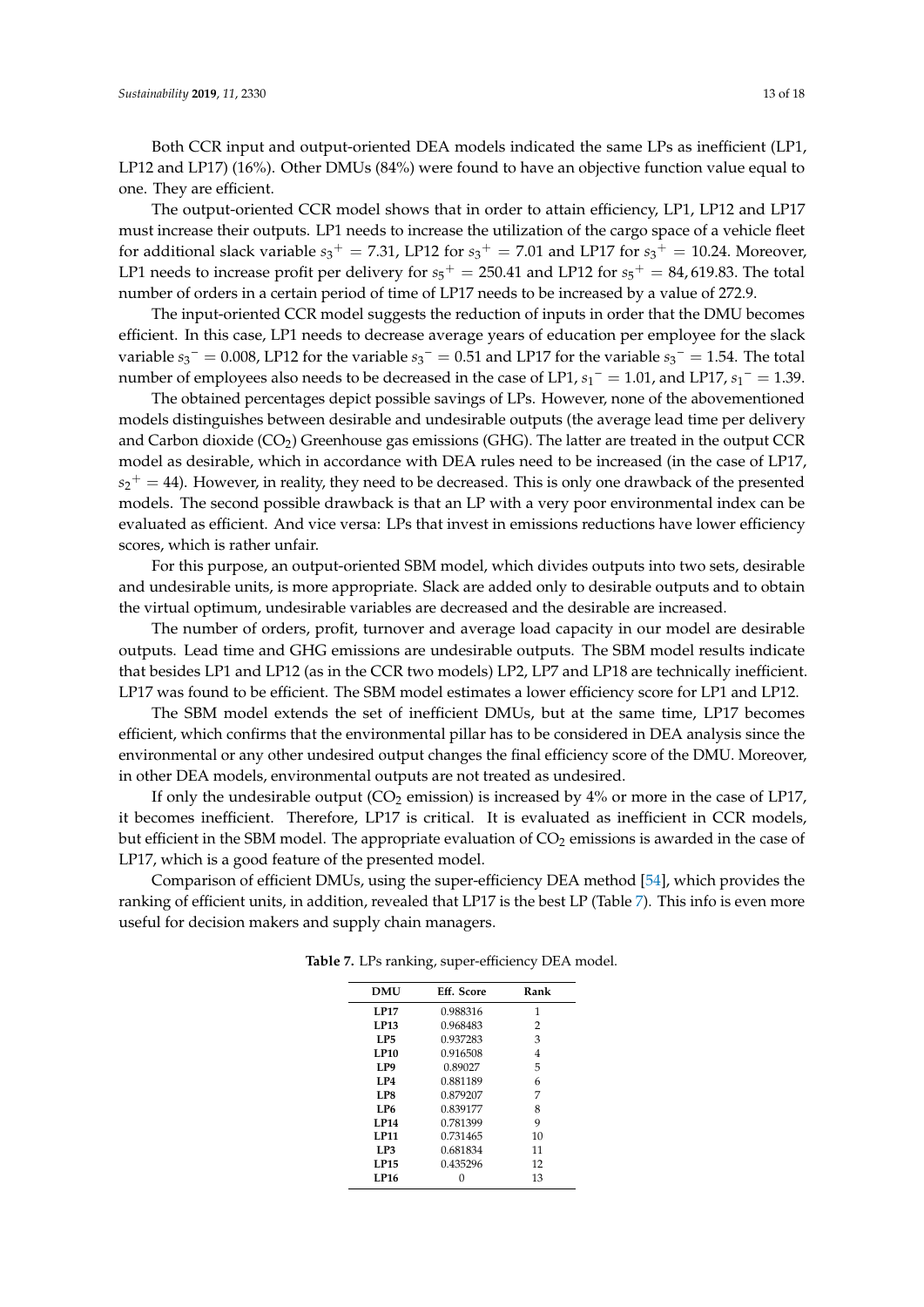Both CCR input and output-oriented DEA models indicated the same LPs as inefficient (LP1, LP12 and LP17) (16%). Other DMUs (84%) were found to have an objective function value equal to one. They are efficient.

The output-oriented CCR model shows that in order to attain efficiency, LP1, LP12 and LP17 must increase their outputs. LP1 needs to increase the utilization of the cargo space of a vehicle fleet for additional slack variable  $s_3^+ = 7.31$ , LP12 for  $s_3^+ = 7.01$  and LP17 for  $s_3^+ = 10.24$ . Moreover, LP1 needs to increase profit per delivery for  $s_5^+ = 250.41$  and LP12 for  $s_5^+ = 84$ , 619.83. The total number of orders in a certain period of time of LP17 needs to be increased by a value of 272.9.

The input-oriented CCR model suggests the reduction of inputs in order that the DMU becomes efficient. In this case, LP1 needs to decrease average years of education per employee for the slack variable  $s_3$ <sup>-</sup> = 0.008, LP12 for the variable  $s_3$ <sup>-</sup> = 0.51 and LP17 for the variable  $s_3$ <sup>-</sup> = 1.54. The total number of employees also needs to be decreased in the case of LP1,  $s_1$ <sup>-</sup> = 1.01, and LP17,  $s_1$ <sup>-</sup> = 1.39.

The obtained percentages depict possible savings of LPs. However, none of the abovementioned models distinguishes between desirable and undesirable outputs (the average lead time per delivery and Carbon dioxide  $(CO_2)$  Greenhouse gas emissions (GHG). The latter are treated in the output CCR model as desirable, which in accordance with DEA rules need to be increased (in the case of LP17,  $s_2^+ = 44$ ). However, in reality, they need to be decreased. This is only one drawback of the presented models. The second possible drawback is that an LP with a very poor environmental index can be evaluated as efficient. And vice versa: LPs that invest in emissions reductions have lower efficiency scores, which is rather unfair.

For this purpose, an output-oriented SBM model, which divides outputs into two sets, desirable and undesirable units, is more appropriate. Slack are added only to desirable outputs and to obtain the virtual optimum, undesirable variables are decreased and the desirable are increased.

The number of orders, profit, turnover and average load capacity in our model are desirable outputs. Lead time and GHG emissions are undesirable outputs. The SBM model results indicate that besides LP1 and LP12 (as in the CCR two models) LP2, LP7 and LP18 are technically inefficient. LP17 was found to be efficient. The SBM model estimates a lower efficiency score for LP1 and LP12.

The SBM model extends the set of inefficient DMUs, but at the same time, LP17 becomes efficient, which confirms that the environmental pillar has to be considered in DEA analysis since the environmental or any other undesired output changes the final efficiency score of the DMU. Moreover, in other DEA models, environmental outputs are not treated as undesired.

If only the undesirable output ( $CO<sub>2</sub>$  emission) is increased by 4% or more in the case of LP17, it becomes inefficient. Therefore, LP17 is critical. It is evaluated as inefficient in CCR models, but efficient in the SBM model. The appropriate evaluation of  $CO<sub>2</sub>$  emissions is awarded in the case of LP17, which is a good feature of the presented model.

<span id="page-12-0"></span>Comparison of efficient DMUs, using the super-efficiency DEA method [\[54\]](#page-17-4), which provides the ranking of efficient units, in addition, revealed that LP17 is the best LP (Table [7\)](#page-12-0). This info is even more useful for decision makers and supply chain managers.

| <b>DMU</b>      | Eff. Score | Rank |
|-----------------|------------|------|
| <b>LP17</b>     | 0.988316   | 1    |
| LP13            | 0.968483   | 2    |
| LP5             | 0.937283   | 3    |
| <b>LP10</b>     | 0.916508   | 4    |
| LP <sub>9</sub> | 0.89027    | 5    |
| LP4             | 0.881189   | 6    |
| LP8             | 0.879207   | 7    |
| LP <sub>6</sub> | 0.839177   | 8    |
| LP14            | 0.781399   | 9    |
| LP11            | 0.731465   | 10   |
| LP3             | 0.681834   | 11   |
| <b>LP15</b>     | 0.435296   | 12   |
| LP16            |            | 13   |

**Table 7.** LPs ranking, super-efficiency DEA model.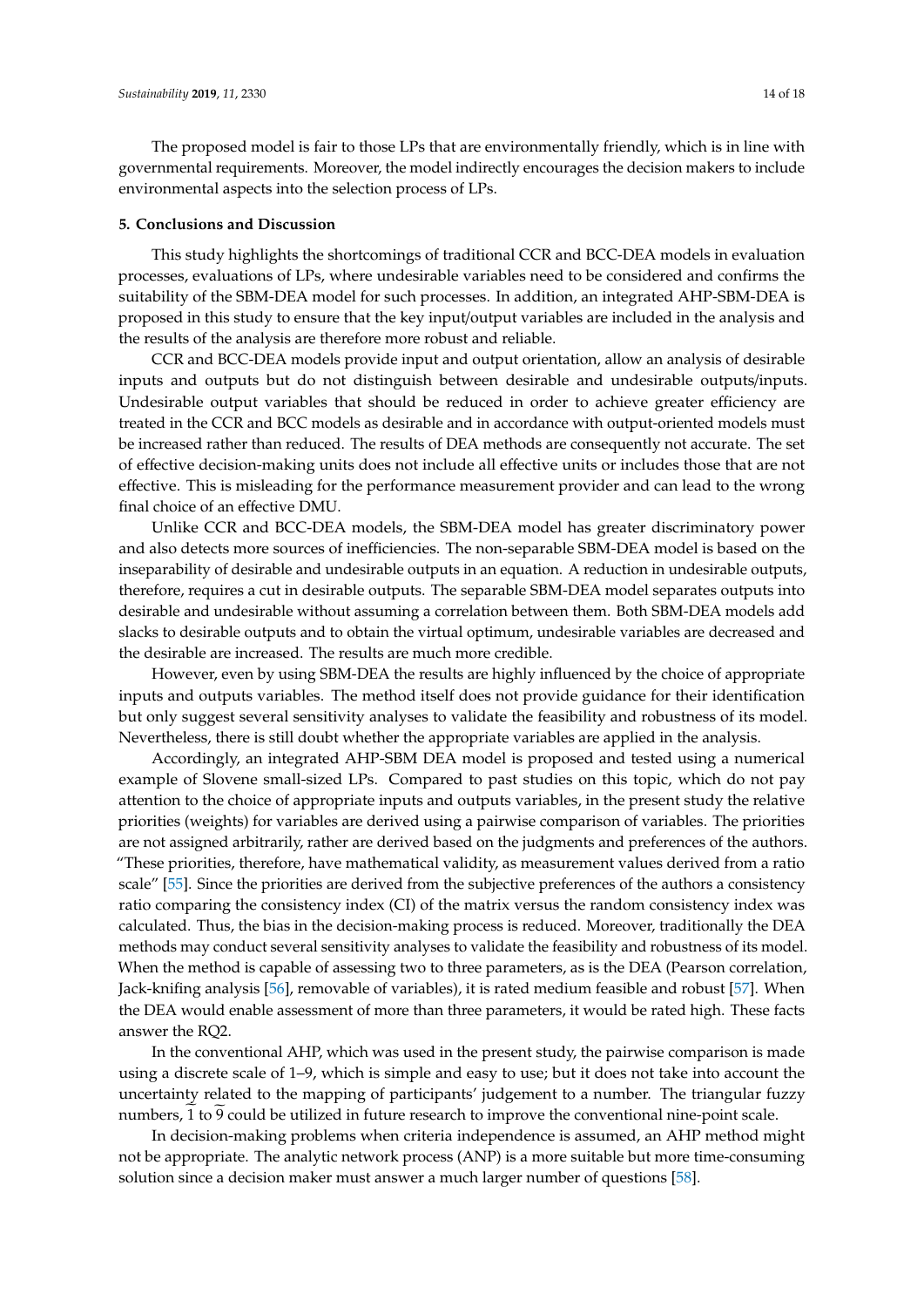The proposed model is fair to those LPs that are environmentally friendly, which is in line with governmental requirements. Moreover, the model indirectly encourages the decision makers to include environmental aspects into the selection process of LPs.

#### **5. Conclusions and Discussion**

This study highlights the shortcomings of traditional CCR and BCC-DEA models in evaluation processes, evaluations of LPs, where undesirable variables need to be considered and confirms the suitability of the SBM-DEA model for such processes. In addition, an integrated AHP-SBM-DEA is proposed in this study to ensure that the key input/output variables are included in the analysis and the results of the analysis are therefore more robust and reliable.

CCR and BCC-DEA models provide input and output orientation, allow an analysis of desirable inputs and outputs but do not distinguish between desirable and undesirable outputs/inputs. Undesirable output variables that should be reduced in order to achieve greater efficiency are treated in the CCR and BCC models as desirable and in accordance with output-oriented models must be increased rather than reduced. The results of DEA methods are consequently not accurate. The set of effective decision-making units does not include all effective units or includes those that are not effective. This is misleading for the performance measurement provider and can lead to the wrong final choice of an effective DMU.

Unlike CCR and BCC-DEA models, the SBM-DEA model has greater discriminatory power and also detects more sources of inefficiencies. The non-separable SBM-DEA model is based on the inseparability of desirable and undesirable outputs in an equation. A reduction in undesirable outputs, therefore, requires a cut in desirable outputs. The separable SBM-DEA model separates outputs into desirable and undesirable without assuming a correlation between them. Both SBM-DEA models add slacks to desirable outputs and to obtain the virtual optimum, undesirable variables are decreased and the desirable are increased. The results are much more credible.

However, even by using SBM-DEA the results are highly influenced by the choice of appropriate inputs and outputs variables. The method itself does not provide guidance for their identification but only suggest several sensitivity analyses to validate the feasibility and robustness of its model. Nevertheless, there is still doubt whether the appropriate variables are applied in the analysis.

Accordingly, an integrated AHP-SBM DEA model is proposed and tested using a numerical example of Slovene small-sized LPs. Compared to past studies on this topic, which do not pay attention to the choice of appropriate inputs and outputs variables, in the present study the relative priorities (weights) for variables are derived using a pairwise comparison of variables. The priorities are not assigned arbitrarily, rather are derived based on the judgments and preferences of the authors. "These priorities, therefore, have mathematical validity, as measurement values derived from a ratio scale" [\[55\]](#page-17-5). Since the priorities are derived from the subjective preferences of the authors a consistency ratio comparing the consistency index (CI) of the matrix versus the random consistency index was calculated. Thus, the bias in the decision-making process is reduced. Moreover, traditionally the DEA methods may conduct several sensitivity analyses to validate the feasibility and robustness of its model. When the method is capable of assessing two to three parameters, as is the DEA (Pearson correlation, Jack-knifing analysis [\[56\]](#page-17-6), removable of variables), it is rated medium feasible and robust [\[57\]](#page-17-7). When the DEA would enable assessment of more than three parameters, it would be rated high. These facts answer the RQ2.

In the conventional AHP, which was used in the present study, the pairwise comparison is made using a discrete scale of 1–9, which is simple and easy to use; but it does not take into account the uncertainty related to the mapping of participants' judgement to a number. The triangular fuzzy numbers, 1 to 9 could be utilized in future research to improve the conventional nine-point scale.

In decision-making problems when criteria independence is assumed, an AHP method might not be appropriate. The analytic network process (ANP) is a more suitable but more time-consuming solution since a decision maker must answer a much larger number of questions [\[58\]](#page-17-8).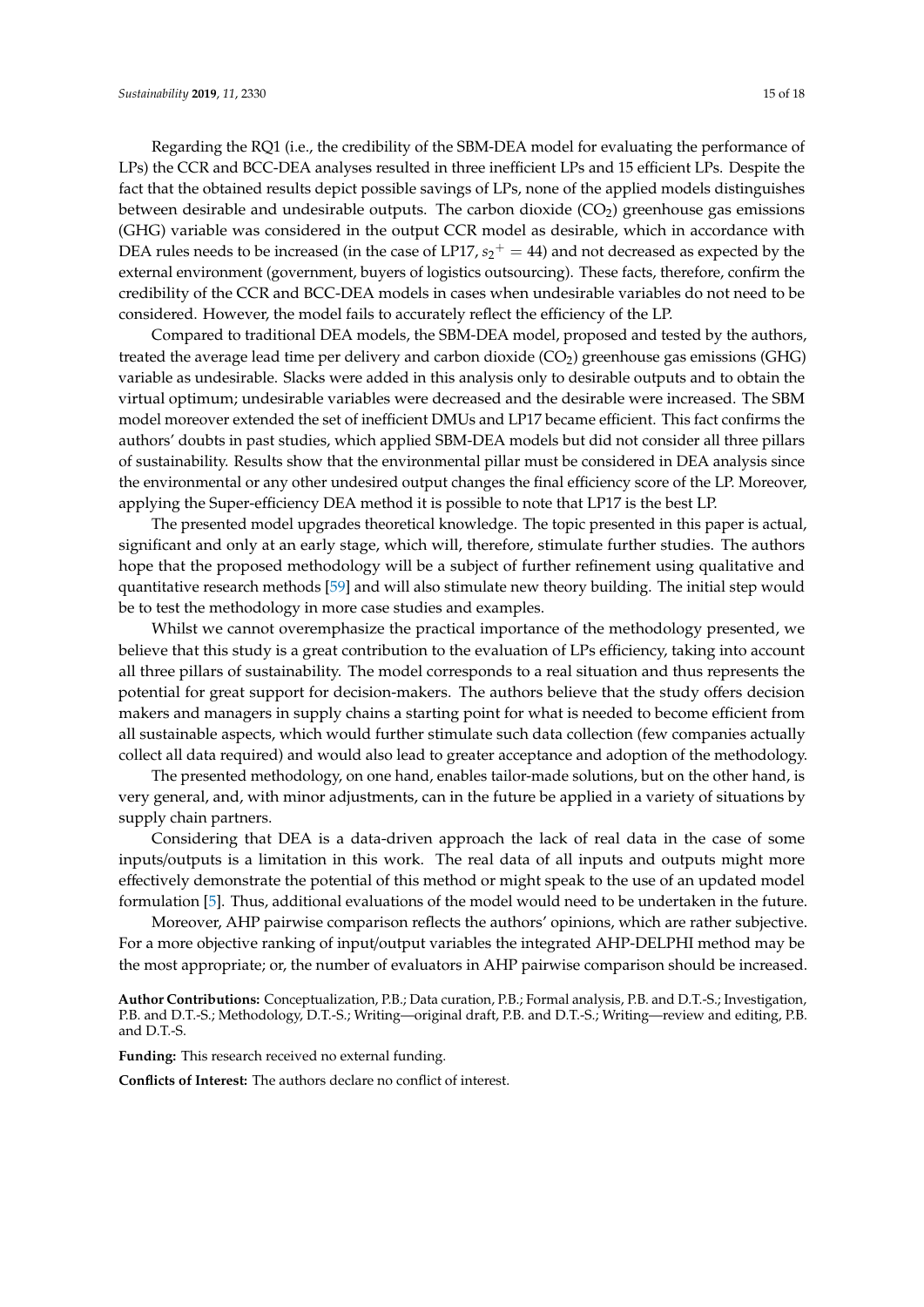Regarding the RQ1 (i.e., the credibility of the SBM-DEA model for evaluating the performance of LPs) the CCR and BCC-DEA analyses resulted in three inefficient LPs and 15 efficient LPs. Despite the fact that the obtained results depict possible savings of LPs, none of the applied models distinguishes between desirable and undesirable outputs. The carbon dioxide  $(CO<sub>2</sub>)$  greenhouse gas emissions (GHG) variable was considered in the output CCR model as desirable, which in accordance with DEA rules needs to be increased (in the case of LP17,  $s_2^+ = 44$ ) and not decreased as expected by the external environment (government, buyers of logistics outsourcing). These facts, therefore, confirm the credibility of the CCR and BCC-DEA models in cases when undesirable variables do not need to be considered. However, the model fails to accurately reflect the efficiency of the LP.

Compared to traditional DEA models, the SBM-DEA model, proposed and tested by the authors, treated the average lead time per delivery and carbon dioxide (CO<sub>2</sub>) greenhouse gas emissions (GHG) variable as undesirable. Slacks were added in this analysis only to desirable outputs and to obtain the virtual optimum; undesirable variables were decreased and the desirable were increased. The SBM model moreover extended the set of inefficient DMUs and LP17 became efficient. This fact confirms the authors' doubts in past studies, which applied SBM-DEA models but did not consider all three pillars of sustainability. Results show that the environmental pillar must be considered in DEA analysis since the environmental or any other undesired output changes the final efficiency score of the LP. Moreover, applying the Super-efficiency DEA method it is possible to note that LP17 is the best LP.

The presented model upgrades theoretical knowledge. The topic presented in this paper is actual, significant and only at an early stage, which will, therefore, stimulate further studies. The authors hope that the proposed methodology will be a subject of further refinement using qualitative and quantitative research methods [\[59\]](#page-17-9) and will also stimulate new theory building. The initial step would be to test the methodology in more case studies and examples.

Whilst we cannot overemphasize the practical importance of the methodology presented, we believe that this study is a great contribution to the evaluation of LPs efficiency, taking into account all three pillars of sustainability. The model corresponds to a real situation and thus represents the potential for great support for decision-makers. The authors believe that the study offers decision makers and managers in supply chains a starting point for what is needed to become efficient from all sustainable aspects, which would further stimulate such data collection (few companies actually collect all data required) and would also lead to greater acceptance and adoption of the methodology.

The presented methodology, on one hand, enables tailor-made solutions, but on the other hand, is very general, and, with minor adjustments, can in the future be applied in a variety of situations by supply chain partners.

Considering that DEA is a data-driven approach the lack of real data in the case of some inputs/outputs is a limitation in this work. The real data of all inputs and outputs might more effectively demonstrate the potential of this method or might speak to the use of an updated model formulation [\[5\]](#page-15-4). Thus, additional evaluations of the model would need to be undertaken in the future.

Moreover, AHP pairwise comparison reflects the authors' opinions, which are rather subjective. For a more objective ranking of input/output variables the integrated AHP-DELPHI method may be the most appropriate; or, the number of evaluators in AHP pairwise comparison should be increased.

**Author Contributions:** Conceptualization, P.B.; Data curation, P.B.; Formal analysis, P.B. and D.T.-S.; Investigation, P.B. and D.T.-S.; Methodology, D.T.-S.; Writing—original draft, P.B. and D.T.-S.; Writing—review and editing, P.B. and D.T.-S.

**Funding:** This research received no external funding.

**Conflicts of Interest:** The authors declare no conflict of interest.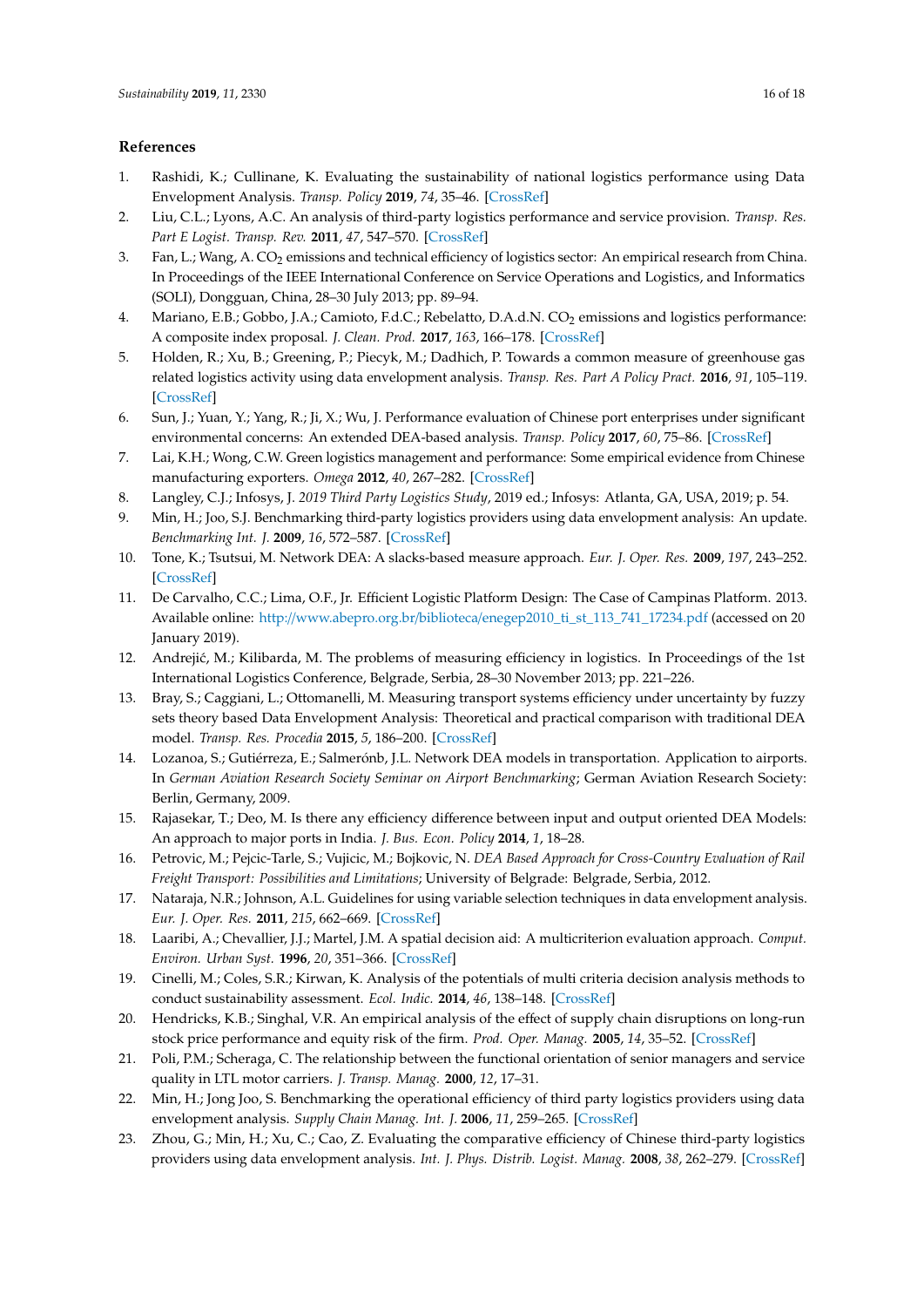## **References**

- <span id="page-15-0"></span>1. Rashidi, K.; Cullinane, K. Evaluating the sustainability of national logistics performance using Data Envelopment Analysis. *Transp. Policy* **2019**, *74*, 35–46. [\[CrossRef\]](http://dx.doi.org/10.1016/j.tranpol.2018.11.014)
- <span id="page-15-1"></span>2. Liu, C.L.; Lyons, A.C. An analysis of third-party logistics performance and service provision. *Transp. Res. Part E Logist. Transp. Rev.* **2011**, *47*, 547–570. [\[CrossRef\]](http://dx.doi.org/10.1016/j.tre.2010.11.012)
- <span id="page-15-2"></span>3. Fan, L.; Wang, A. CO<sup>2</sup> emissions and technical efficiency of logistics sector: An empirical research from China. In Proceedings of the IEEE International Conference on Service Operations and Logistics, and Informatics (SOLI), Dongguan, China, 28–30 July 2013; pp. 89–94.
- <span id="page-15-3"></span>4. Mariano, E.B.; Gobbo, J.A.; Camioto, F.d.C.; Rebelatto, D.A.d.N. CO<sub>2</sub> emissions and logistics performance: A composite index proposal. *J. Clean. Prod.* **2017**, *163*, 166–178. [\[CrossRef\]](http://dx.doi.org/10.1016/j.jclepro.2016.05.084)
- <span id="page-15-4"></span>5. Holden, R.; Xu, B.; Greening, P.; Piecyk, M.; Dadhich, P. Towards a common measure of greenhouse gas related logistics activity using data envelopment analysis. *Transp. Res. Part A Policy Pract.* **2016**, *91*, 105–119. [\[CrossRef\]](http://dx.doi.org/10.1016/j.tra.2016.06.001)
- <span id="page-15-5"></span>6. Sun, J.; Yuan, Y.; Yang, R.; Ji, X.; Wu, J. Performance evaluation of Chinese port enterprises under significant environmental concerns: An extended DEA-based analysis. *Transp. Policy* **2017**, *60*, 75–86. [\[CrossRef\]](http://dx.doi.org/10.1016/j.tranpol.2017.09.001)
- <span id="page-15-6"></span>7. Lai, K.H.; Wong, C.W. Green logistics management and performance: Some empirical evidence from Chinese manufacturing exporters. *Omega* **2012**, *40*, 267–282. [\[CrossRef\]](http://dx.doi.org/10.1016/j.omega.2011.07.002)
- <span id="page-15-7"></span>8. Langley, C.J.; Infosys, J. *2019 Third Party Logistics Study*, 2019 ed.; Infosys: Atlanta, GA, USA, 2019; p. 54.
- <span id="page-15-8"></span>9. Min, H.; Joo, S.J. Benchmarking third-party logistics providers using data envelopment analysis: An update. *Benchmarking Int. J.* **2009**, *16*, 572–587. [\[CrossRef\]](http://dx.doi.org/10.1108/14635770910987814)
- <span id="page-15-9"></span>10. Tone, K.; Tsutsui, M. Network DEA: A slacks-based measure approach. *Eur. J. Oper. Res.* **2009**, *197*, 243–252. [\[CrossRef\]](http://dx.doi.org/10.1016/j.ejor.2008.05.027)
- <span id="page-15-10"></span>11. De Carvalho, C.C.; Lima, O.F., Jr. Efficient Logistic Platform Design: The Case of Campinas Platform. 2013. Available online: http://www.abepro.org.br/biblioteca/[enegep2010\\_ti\\_st\\_113\\_741\\_17234.pdf](http://www.abepro.org.br/biblioteca/enegep2010_ti_st_113_741_17234.pdf) (accessed on 20 January 2019).
- <span id="page-15-18"></span>12. Andrejić, M.; Kilibarda, M. The problems of measuring efficiency in logistics. In Proceedings of the 1st International Logistics Conference, Belgrade, Serbia, 28–30 November 2013; pp. 221–226.
- 13. Bray, S.; Caggiani, L.; Ottomanelli, M. Measuring transport systems efficiency under uncertainty by fuzzy sets theory based Data Envelopment Analysis: Theoretical and practical comparison with traditional DEA model. *Transp. Res. Procedia* **2015**, *5*, 186–200. [\[CrossRef\]](http://dx.doi.org/10.1016/j.trpro.2015.01.005)
- 14. Lozanoa, S.; Gutiérreza, E.; Salmerónb, J.L. Network DEA models in transportation. Application to airports. In *German Aviation Research Society Seminar on Airport Benchmarking*; German Aviation Research Society: Berlin, Germany, 2009.
- 15. Rajasekar, T.; Deo, M. Is there any efficiency difference between input and output oriented DEA Models: An approach to major ports in India. *J. Bus. Econ. Policy* **2014**, *1*, 18–28.
- 16. Petrovic, M.; Pejcic-Tarle, S.; Vujicic, M.; Bojkovic, N. *DEA Based Approach for Cross-Country Evaluation of Rail Freight Transport: Possibilities and Limitations*; University of Belgrade: Belgrade, Serbia, 2012.
- <span id="page-15-11"></span>17. Nataraja, N.R.; Johnson, A.L. Guidelines for using variable selection techniques in data envelopment analysis. *Eur. J. Oper. Res.* **2011**, *215*, 662–669. [\[CrossRef\]](http://dx.doi.org/10.1016/j.ejor.2011.06.045)
- <span id="page-15-12"></span>18. Laaribi, A.; Chevallier, J.J.; Martel, J.M. A spatial decision aid: A multicriterion evaluation approach. *Comput. Environ. Urban Syst.* **1996**, *20*, 351–366. [\[CrossRef\]](http://dx.doi.org/10.1016/S0198-9715(97)00002-1)
- <span id="page-15-13"></span>19. Cinelli, M.; Coles, S.R.; Kirwan, K. Analysis of the potentials of multi criteria decision analysis methods to conduct sustainability assessment. *Ecol. Indic.* **2014**, *46*, 138–148. [\[CrossRef\]](http://dx.doi.org/10.1016/j.ecolind.2014.06.011)
- <span id="page-15-14"></span>20. Hendricks, K.B.; Singhal, V.R. An empirical analysis of the effect of supply chain disruptions on long-run stock price performance and equity risk of the firm. *Prod. Oper. Manag.* **2005**, *14*, 35–52. [\[CrossRef\]](http://dx.doi.org/10.1111/j.1937-5956.2005.tb00008.x)
- <span id="page-15-15"></span>21. Poli, P.M.; Scheraga, C. The relationship between the functional orientation of senior managers and service quality in LTL motor carriers. *J. Transp. Manag.* **2000**, *12*, 17–31.
- <span id="page-15-16"></span>22. Min, H.; Jong Joo, S. Benchmarking the operational efficiency of third party logistics providers using data envelopment analysis. *Supply Chain Manag. Int. J.* **2006**, *11*, 259–265. [\[CrossRef\]](http://dx.doi.org/10.1108/13598540610662167)
- <span id="page-15-17"></span>23. Zhou, G.; Min, H.; Xu, C.; Cao, Z. Evaluating the comparative efficiency of Chinese third-party logistics providers using data envelopment analysis. *Int. J. Phys. Distrib. Logist. Manag.* **2008**, *38*, 262–279. [\[CrossRef\]](http://dx.doi.org/10.1108/09600030810875373)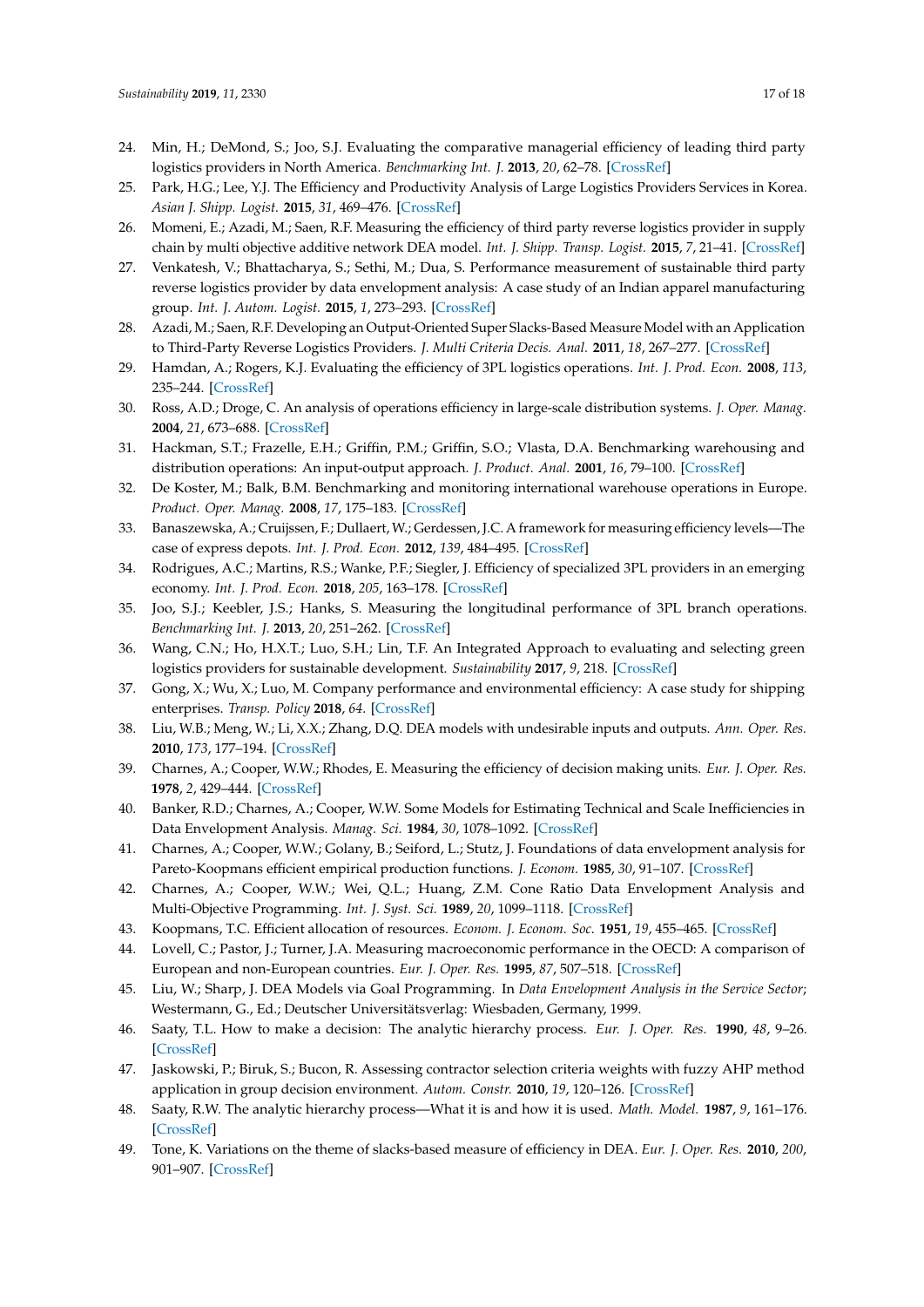- <span id="page-16-0"></span>24. Min, H.; DeMond, S.; Joo, S.J. Evaluating the comparative managerial efficiency of leading third party logistics providers in North America. *Benchmarking Int. J.* **2013**, *20*, 62–78. [\[CrossRef\]](http://dx.doi.org/10.1108/14635771311299498)
- <span id="page-16-1"></span>25. Park, H.G.; Lee, Y.J. The Efficiency and Productivity Analysis of Large Logistics Providers Services in Korea. *Asian J. Shipp. Logist.* **2015**, *31*, 469–476. [\[CrossRef\]](http://dx.doi.org/10.1016/j.ajsl.2016.01.005)
- <span id="page-16-2"></span>26. Momeni, E.; Azadi, M.; Saen, R.F. Measuring the efficiency of third party reverse logistics provider in supply chain by multi objective additive network DEA model. *Int. J. Shipp. Transp. Logist.* **2015**, *7*, 21–41. [\[CrossRef\]](http://dx.doi.org/10.1504/IJSTL.2015.065893)
- <span id="page-16-3"></span>27. Venkatesh, V.; Bhattacharya, S.; Sethi, M.; Dua, S. Performance measurement of sustainable third party reverse logistics provider by data envelopment analysis: A case study of an Indian apparel manufacturing group. *Int. J. Autom. Logist.* **2015**, *1*, 273–293. [\[CrossRef\]](http://dx.doi.org/10.1504/IJAL.2015.071725)
- <span id="page-16-4"></span>28. Azadi, M.; Saen, R.F. Developing an Output-Oriented Super Slacks-Based Measure Model with an Application to Third-Party Reverse Logistics Providers. *J. Multi Criteria Decis. Anal.* **2011**, *18*, 267–277. [\[CrossRef\]](http://dx.doi.org/10.1002/mcda.483)
- <span id="page-16-5"></span>29. Hamdan, A.; Rogers, K.J. Evaluating the efficiency of 3PL logistics operations. *Int. J. Prod. Econ.* **2008**, *113*, 235–244. [\[CrossRef\]](http://dx.doi.org/10.1016/j.ijpe.2007.05.019)
- <span id="page-16-6"></span>30. Ross, A.D.; Droge, C. An analysis of operations efficiency in large-scale distribution systems. *J. Oper. Manag.* **2004**, *21*, 673–688. [\[CrossRef\]](http://dx.doi.org/10.1016/j.jom.2003.11.003)
- 31. Hackman, S.T.; Frazelle, E.H.; Griffin, P.M.; Griffin, S.O.; Vlasta, D.A. Benchmarking warehousing and distribution operations: An input-output approach. *J. Product. Anal.* **2001**, *16*, 79–100. [\[CrossRef\]](http://dx.doi.org/10.1023/A:1011155320454)
- 32. De Koster, M.; Balk, B.M. Benchmarking and monitoring international warehouse operations in Europe. *Product. Oper. Manag.* **2008**, *17*, 175–183. [\[CrossRef\]](http://dx.doi.org/10.3401/poms.1080.0013)
- <span id="page-16-7"></span>33. Banaszewska, A.; Cruijssen, F.; Dullaert, W.; Gerdessen, J.C. A framework for measuring efficiency levels—The case of express depots. *Int. J. Prod. Econ.* **2012**, *139*, 484–495. [\[CrossRef\]](http://dx.doi.org/10.1016/j.ijpe.2012.05.003)
- <span id="page-16-8"></span>34. Rodrigues, A.C.; Martins, R.S.; Wanke, P.F.; Siegler, J. Efficiency of specialized 3PL providers in an emerging economy. *Int. J. Prod. Econ.* **2018**, *205*, 163–178. [\[CrossRef\]](http://dx.doi.org/10.1016/j.ijpe.2018.09.012)
- <span id="page-16-9"></span>35. Joo, S.J.; Keebler, J.S.; Hanks, S. Measuring the longitudinal performance of 3PL branch operations. *Benchmarking Int. J.* **2013**, *20*, 251–262. [\[CrossRef\]](http://dx.doi.org/10.1108/14635771311307704)
- <span id="page-16-10"></span>36. Wang, C.N.; Ho, H.X.T.; Luo, S.H.; Lin, T.F. An Integrated Approach to evaluating and selecting green logistics providers for sustainable development. *Sustainability* **2017**, *9*, 218. [\[CrossRef\]](http://dx.doi.org/10.3390/su9020218)
- <span id="page-16-11"></span>37. Gong, X.; Wu, X.; Luo, M. Company performance and environmental efficiency: A case study for shipping enterprises. *Transp. Policy* **2018**, *64*. [\[CrossRef\]](http://dx.doi.org/10.1016/j.tranpol.2018.04.008)
- <span id="page-16-12"></span>38. Liu, W.B.; Meng, W.; Li, X.X.; Zhang, D.Q. DEA models with undesirable inputs and outputs. *Ann. Oper. Res.* **2010**, *173*, 177–194. [\[CrossRef\]](http://dx.doi.org/10.1007/s10479-009-0587-3)
- <span id="page-16-13"></span>39. Charnes, A.; Cooper, W.W.; Rhodes, E. Measuring the efficiency of decision making units. *Eur. J. Oper. Res.* **1978**, *2*, 429–444. [\[CrossRef\]](http://dx.doi.org/10.1016/0377-2217(78)90138-8)
- <span id="page-16-14"></span>40. Banker, R.D.; Charnes, A.; Cooper, W.W. Some Models for Estimating Technical and Scale Inefficiencies in Data Envelopment Analysis. *Manag. Sci.* **1984**, *30*, 1078–1092. [\[CrossRef\]](http://dx.doi.org/10.1287/mnsc.30.9.1078)
- <span id="page-16-15"></span>41. Charnes, A.; Cooper, W.W.; Golany, B.; Seiford, L.; Stutz, J. Foundations of data envelopment analysis for Pareto-Koopmans efficient empirical production functions. *J. Econom.* **1985**, *30*, 91–107. [\[CrossRef\]](http://dx.doi.org/10.1016/0304-4076(85)90133-2)
- <span id="page-16-16"></span>42. Charnes, A.; Cooper, W.W.; Wei, Q.L.; Huang, Z.M. Cone Ratio Data Envelopment Analysis and Multi-Objective Programming. *Int. J. Syst. Sci.* **1989**, *20*, 1099–1118. [\[CrossRef\]](http://dx.doi.org/10.1080/00207728908910197)
- <span id="page-16-17"></span>43. Koopmans, T.C. Efficient allocation of resources. *Econom. J. Econom. Soc.* **1951**, *19*, 455–465. [\[CrossRef\]](http://dx.doi.org/10.2307/1907467)
- <span id="page-16-18"></span>44. Lovell, C.; Pastor, J.; Turner, J.A. Measuring macroeconomic performance in the OECD: A comparison of European and non-European countries. *Eur. J. Oper. Res.* **1995**, *87*, 507–518. [\[CrossRef\]](http://dx.doi.org/10.1016/0377-2217(95)00226-X)
- <span id="page-16-19"></span>45. Liu, W.; Sharp, J. DEA Models via Goal Programming. In *Data Envelopment Analysis in the Service Sector*; Westermann, G., Ed.; Deutscher Universitätsverlag: Wiesbaden, Germany, 1999.
- <span id="page-16-20"></span>46. Saaty, T.L. How to make a decision: The analytic hierarchy process. *Eur. J. Oper. Res.* **1990**, *48*, 9–26. [\[CrossRef\]](http://dx.doi.org/10.1016/0377-2217(90)90057-I)
- <span id="page-16-21"></span>47. Jaskowski, P.; Biruk, S.; Bucon, R. Assessing contractor selection criteria weights with fuzzy AHP method application in group decision environment. *Autom. Constr.* **2010**, *19*, 120–126. [\[CrossRef\]](http://dx.doi.org/10.1016/j.autcon.2009.12.014)
- <span id="page-16-22"></span>48. Saaty, R.W. The analytic hierarchy process—What it is and how it is used. *Math. Model.* **1987**, *9*, 161–176. [\[CrossRef\]](http://dx.doi.org/10.1016/0270-0255(87)90473-8)
- <span id="page-16-23"></span>49. Tone, K. Variations on the theme of slacks-based measure of efficiency in DEA. *Eur. J. Oper. Res.* **2010**, *200*, 901–907. [\[CrossRef\]](http://dx.doi.org/10.1016/j.ejor.2009.01.027)